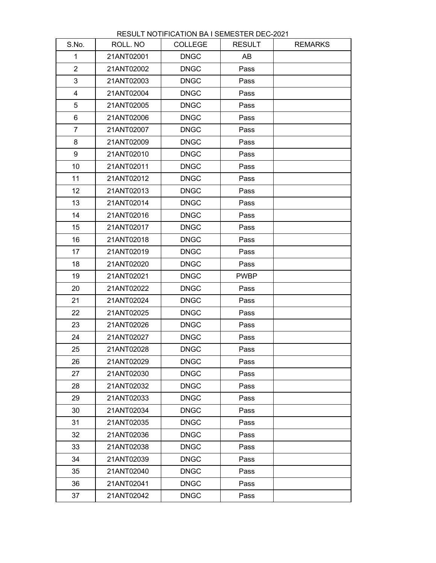| S.No.                   | ROLL. NO   | <b>COLLEGE</b> | <b>RESULT</b> | <b>REMARKS</b> |
|-------------------------|------------|----------------|---------------|----------------|
| 1                       | 21ANT02001 | <b>DNGC</b>    | AB            |                |
| $\overline{2}$          | 21ANT02002 | <b>DNGC</b>    | Pass          |                |
| 3                       | 21ANT02003 | <b>DNGC</b>    | Pass          |                |
| $\overline{\mathbf{4}}$ | 21ANT02004 | <b>DNGC</b>    | Pass          |                |
| 5                       | 21ANT02005 | <b>DNGC</b>    | Pass          |                |
| 6                       | 21ANT02006 | <b>DNGC</b>    | Pass          |                |
| $\overline{7}$          | 21ANT02007 | <b>DNGC</b>    | Pass          |                |
| 8                       | 21ANT02009 | <b>DNGC</b>    | Pass          |                |
| 9                       | 21ANT02010 | <b>DNGC</b>    | Pass          |                |
| 10                      | 21ANT02011 | <b>DNGC</b>    | Pass          |                |
| 11                      | 21ANT02012 | <b>DNGC</b>    | Pass          |                |
| 12                      | 21ANT02013 | <b>DNGC</b>    | Pass          |                |
| 13                      | 21ANT02014 | <b>DNGC</b>    | Pass          |                |
| 14                      | 21ANT02016 | <b>DNGC</b>    | Pass          |                |
| 15                      | 21ANT02017 | <b>DNGC</b>    | Pass          |                |
| 16                      | 21ANT02018 | <b>DNGC</b>    | Pass          |                |
| 17                      | 21ANT02019 | <b>DNGC</b>    | Pass          |                |
| 18                      | 21ANT02020 | <b>DNGC</b>    | Pass          |                |
| 19                      | 21ANT02021 | <b>DNGC</b>    | <b>PWBP</b>   |                |
| 20                      | 21ANT02022 | <b>DNGC</b>    | Pass          |                |
| 21                      | 21ANT02024 | <b>DNGC</b>    | Pass          |                |
| 22                      | 21ANT02025 | <b>DNGC</b>    | Pass          |                |
| 23                      | 21ANT02026 | <b>DNGC</b>    | Pass          |                |
| 24                      | 21ANT02027 | <b>DNGC</b>    | Pass          |                |
| 25                      | 21ANT02028 | <b>DNGC</b>    | Pass          |                |
| 26                      | 21ANT02029 | <b>DNGC</b>    | Pass          |                |
| 27                      | 21ANT02030 | <b>DNGC</b>    | Pass          |                |
| 28                      | 21ANT02032 | <b>DNGC</b>    | Pass          |                |
| 29                      | 21ANT02033 | <b>DNGC</b>    | Pass          |                |
| 30                      | 21ANT02034 | <b>DNGC</b>    | Pass          |                |
| 31                      | 21ANT02035 | <b>DNGC</b>    | Pass          |                |
| 32                      | 21ANT02036 | <b>DNGC</b>    | Pass          |                |
| 33                      | 21ANT02038 | <b>DNGC</b>    | Pass          |                |
| 34                      | 21ANT02039 | <b>DNGC</b>    | Pass          |                |
| 35                      | 21ANT02040 | <b>DNGC</b>    | Pass          |                |
| 36                      | 21ANT02041 | <b>DNGC</b>    | Pass          |                |
| 37                      | 21ANT02042 | <b>DNGC</b>    | Pass          |                |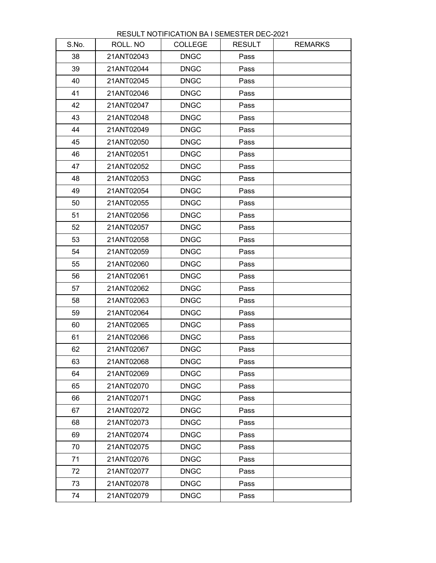| S.No. | ROLL. NO   | <b>COLLEGE</b> | <b>RESULT</b> | <b>REMARKS</b> |
|-------|------------|----------------|---------------|----------------|
| 38    | 21ANT02043 | <b>DNGC</b>    | Pass          |                |
| 39    | 21ANT02044 | <b>DNGC</b>    | Pass          |                |
| 40    | 21ANT02045 | <b>DNGC</b>    | Pass          |                |
| 41    | 21ANT02046 | <b>DNGC</b>    | Pass          |                |
| 42    | 21ANT02047 | <b>DNGC</b>    | Pass          |                |
| 43    | 21ANT02048 | <b>DNGC</b>    | Pass          |                |
| 44    | 21ANT02049 | <b>DNGC</b>    | Pass          |                |
| 45    | 21ANT02050 | <b>DNGC</b>    | Pass          |                |
| 46    | 21ANT02051 | <b>DNGC</b>    | Pass          |                |
| 47    | 21ANT02052 | <b>DNGC</b>    | Pass          |                |
| 48    | 21ANT02053 | <b>DNGC</b>    | Pass          |                |
| 49    | 21ANT02054 | <b>DNGC</b>    | Pass          |                |
| 50    | 21ANT02055 | <b>DNGC</b>    | Pass          |                |
| 51    | 21ANT02056 | <b>DNGC</b>    | Pass          |                |
| 52    | 21ANT02057 | <b>DNGC</b>    | Pass          |                |
| 53    | 21ANT02058 | <b>DNGC</b>    | Pass          |                |
| 54    | 21ANT02059 | <b>DNGC</b>    | Pass          |                |
| 55    | 21ANT02060 | <b>DNGC</b>    | Pass          |                |
| 56    | 21ANT02061 | <b>DNGC</b>    | Pass          |                |
| 57    | 21ANT02062 | <b>DNGC</b>    | Pass          |                |
| 58    | 21ANT02063 | <b>DNGC</b>    | Pass          |                |
| 59    | 21ANT02064 | <b>DNGC</b>    | Pass          |                |
| 60    | 21ANT02065 | <b>DNGC</b>    | Pass          |                |
| 61    | 21ANT02066 | <b>DNGC</b>    | Pass          |                |
| 62    | 21ANT02067 | <b>DNGC</b>    | Pass          |                |
| 63    | 21ANT02068 | <b>DNGC</b>    | Pass          |                |
| 64    | 21ANT02069 | <b>DNGC</b>    | Pass          |                |
| 65    | 21ANT02070 | <b>DNGC</b>    | Pass          |                |
| 66    | 21ANT02071 | <b>DNGC</b>    | Pass          |                |
| 67    | 21ANT02072 | <b>DNGC</b>    | Pass          |                |
| 68    | 21ANT02073 | <b>DNGC</b>    | Pass          |                |
| 69    | 21ANT02074 | <b>DNGC</b>    | Pass          |                |
| 70    | 21ANT02075 | <b>DNGC</b>    | Pass          |                |
| 71    | 21ANT02076 | <b>DNGC</b>    | Pass          |                |
| 72    | 21ANT02077 | <b>DNGC</b>    | Pass          |                |
| 73    | 21ANT02078 | <b>DNGC</b>    | Pass          |                |
| 74    | 21ANT02079 | <b>DNGC</b>    | Pass          |                |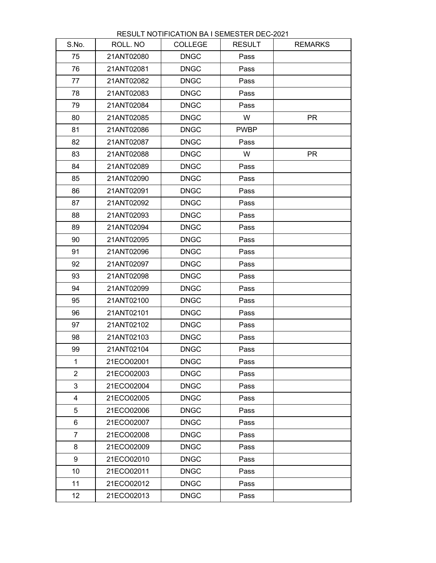| S.No.           | ROLL. NO   | <b>COLLEGE</b> | <b>RESULT</b> | <b>REMARKS</b> |
|-----------------|------------|----------------|---------------|----------------|
| 75              | 21ANT02080 | <b>DNGC</b>    | Pass          |                |
| 76              | 21ANT02081 | <b>DNGC</b>    | Pass          |                |
| 77              | 21ANT02082 | <b>DNGC</b>    | Pass          |                |
| 78              | 21ANT02083 | <b>DNGC</b>    | Pass          |                |
| 79              | 21ANT02084 | <b>DNGC</b>    | Pass          |                |
| 80              | 21ANT02085 | <b>DNGC</b>    | W             | <b>PR</b>      |
| 81              | 21ANT02086 | <b>DNGC</b>    | <b>PWBP</b>   |                |
| 82              | 21ANT02087 | <b>DNGC</b>    | Pass          |                |
| 83              | 21ANT02088 | <b>DNGC</b>    | W             | <b>PR</b>      |
| 84              | 21ANT02089 | <b>DNGC</b>    | Pass          |                |
| 85              | 21ANT02090 | <b>DNGC</b>    | Pass          |                |
| 86              | 21ANT02091 | <b>DNGC</b>    | Pass          |                |
| 87              | 21ANT02092 | <b>DNGC</b>    | Pass          |                |
| 88              | 21ANT02093 | <b>DNGC</b>    | Pass          |                |
| 89              | 21ANT02094 | <b>DNGC</b>    | Pass          |                |
| 90              | 21ANT02095 | <b>DNGC</b>    | Pass          |                |
| 91              | 21ANT02096 | <b>DNGC</b>    | Pass          |                |
| 92              | 21ANT02097 | <b>DNGC</b>    | Pass          |                |
| 93              | 21ANT02098 | <b>DNGC</b>    | Pass          |                |
| 94              | 21ANT02099 | <b>DNGC</b>    | Pass          |                |
| 95              | 21ANT02100 | <b>DNGC</b>    | Pass          |                |
| 96              | 21ANT02101 | <b>DNGC</b>    | Pass          |                |
| 97              | 21ANT02102 | <b>DNGC</b>    | Pass          |                |
| 98              | 21ANT02103 | <b>DNGC</b>    | Pass          |                |
| 99              | 21ANT02104 | <b>DNGC</b>    | Pass          |                |
| $\mathbf{1}$    | 21ECO02001 | <b>DNGC</b>    | Pass          |                |
| $\overline{2}$  | 21ECO02003 | <b>DNGC</b>    | Pass          |                |
| 3               | 21ECO02004 | <b>DNGC</b>    | Pass          |                |
| $\overline{4}$  | 21ECO02005 | <b>DNGC</b>    | Pass          |                |
| 5               | 21ECO02006 | <b>DNGC</b>    | Pass          |                |
| 6               | 21ECO02007 | <b>DNGC</b>    | Pass          |                |
| $\overline{7}$  | 21ECO02008 | <b>DNGC</b>    | Pass          |                |
| 8               | 21ECO02009 | <b>DNGC</b>    | Pass          |                |
| 9               | 21ECO02010 | <b>DNGC</b>    | Pass          |                |
| 10              | 21ECO02011 | <b>DNGC</b>    | Pass          |                |
| 11              | 21ECO02012 | <b>DNGC</b>    | Pass          |                |
| 12 <sub>2</sub> | 21ECO02013 | <b>DNGC</b>    | Pass          |                |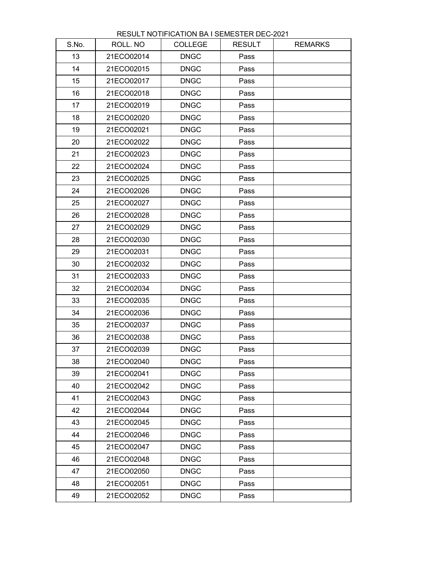| S.No. | ROLL. NO   | <b>COLLEGE</b> | <b>RESULT</b> | <b>REMARKS</b> |
|-------|------------|----------------|---------------|----------------|
| 13    | 21ECO02014 | <b>DNGC</b>    | Pass          |                |
| 14    | 21ECO02015 | <b>DNGC</b>    | Pass          |                |
| 15    | 21ECO02017 | <b>DNGC</b>    | Pass          |                |
| 16    | 21ECO02018 | <b>DNGC</b>    | Pass          |                |
| 17    | 21ECO02019 | <b>DNGC</b>    | Pass          |                |
| 18    | 21ECO02020 | <b>DNGC</b>    | Pass          |                |
| 19    | 21ECO02021 | <b>DNGC</b>    | Pass          |                |
| 20    | 21ECO02022 | <b>DNGC</b>    | Pass          |                |
| 21    | 21ECO02023 | <b>DNGC</b>    | Pass          |                |
| 22    | 21ECO02024 | <b>DNGC</b>    | Pass          |                |
| 23    | 21ECO02025 | <b>DNGC</b>    | Pass          |                |
| 24    | 21ECO02026 | <b>DNGC</b>    | Pass          |                |
| 25    | 21ECO02027 | <b>DNGC</b>    | Pass          |                |
| 26    | 21ECO02028 | <b>DNGC</b>    | Pass          |                |
| 27    | 21ECO02029 | <b>DNGC</b>    | Pass          |                |
| 28    | 21ECO02030 | <b>DNGC</b>    | Pass          |                |
| 29    | 21ECO02031 | <b>DNGC</b>    | Pass          |                |
| 30    | 21ECO02032 | <b>DNGC</b>    | Pass          |                |
| 31    | 21ECO02033 | <b>DNGC</b>    | Pass          |                |
| 32    | 21ECO02034 | <b>DNGC</b>    | Pass          |                |
| 33    | 21ECO02035 | <b>DNGC</b>    | Pass          |                |
| 34    | 21ECO02036 | <b>DNGC</b>    | Pass          |                |
| 35    | 21ECO02037 | <b>DNGC</b>    | Pass          |                |
| 36    | 21ECO02038 | <b>DNGC</b>    | Pass          |                |
| 37    | 21ECO02039 | <b>DNGC</b>    | Pass          |                |
| 38    | 21ECO02040 | <b>DNGC</b>    | Pass          |                |
| 39    | 21ECO02041 | <b>DNGC</b>    | Pass          |                |
| 40    | 21ECO02042 | <b>DNGC</b>    | Pass          |                |
| 41    | 21ECO02043 | <b>DNGC</b>    | Pass          |                |
| 42    | 21ECO02044 | <b>DNGC</b>    | Pass          |                |
| 43    | 21ECO02045 | <b>DNGC</b>    | Pass          |                |
| 44    | 21ECO02046 | <b>DNGC</b>    | Pass          |                |
| 45    | 21ECO02047 | <b>DNGC</b>    | Pass          |                |
| 46    | 21ECO02048 | <b>DNGC</b>    | Pass          |                |
| 47    | 21ECO02050 | <b>DNGC</b>    | Pass          |                |
| 48    | 21ECO02051 | <b>DNGC</b>    | Pass          |                |
| 49    | 21ECO02052 | <b>DNGC</b>    | Pass          |                |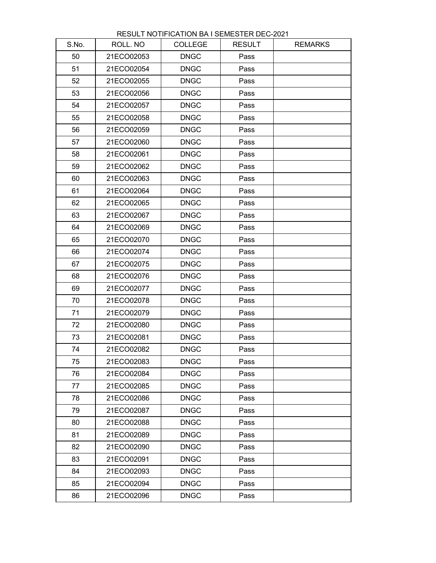| S.No. | ROLL. NO   | <b>COLLEGE</b> | <b>RESULT</b> | <b>REMARKS</b> |
|-------|------------|----------------|---------------|----------------|
| 50    | 21ECO02053 | <b>DNGC</b>    | Pass          |                |
| 51    | 21ECO02054 | <b>DNGC</b>    | Pass          |                |
| 52    | 21ECO02055 | <b>DNGC</b>    | Pass          |                |
| 53    | 21ECO02056 | <b>DNGC</b>    | Pass          |                |
| 54    | 21ECO02057 | <b>DNGC</b>    | Pass          |                |
| 55    | 21ECO02058 | <b>DNGC</b>    | Pass          |                |
| 56    | 21ECO02059 | <b>DNGC</b>    | Pass          |                |
| 57    | 21ECO02060 | <b>DNGC</b>    | Pass          |                |
| 58    | 21ECO02061 | <b>DNGC</b>    | Pass          |                |
| 59    | 21ECO02062 | <b>DNGC</b>    | Pass          |                |
| 60    | 21ECO02063 | <b>DNGC</b>    | Pass          |                |
| 61    | 21ECO02064 | <b>DNGC</b>    | Pass          |                |
| 62    | 21ECO02065 | <b>DNGC</b>    | Pass          |                |
| 63    | 21ECO02067 | <b>DNGC</b>    | Pass          |                |
| 64    | 21ECO02069 | <b>DNGC</b>    | Pass          |                |
| 65    | 21ECO02070 | <b>DNGC</b>    | Pass          |                |
| 66    | 21ECO02074 | <b>DNGC</b>    | Pass          |                |
| 67    | 21ECO02075 | <b>DNGC</b>    | Pass          |                |
| 68    | 21ECO02076 | <b>DNGC</b>    | Pass          |                |
| 69    | 21ECO02077 | <b>DNGC</b>    | Pass          |                |
| 70    | 21ECO02078 | <b>DNGC</b>    | Pass          |                |
| 71    | 21ECO02079 | <b>DNGC</b>    | Pass          |                |
| 72    | 21ECO02080 | <b>DNGC</b>    | Pass          |                |
| 73    | 21ECO02081 | <b>DNGC</b>    | Pass          |                |
| 74    | 21ECO02082 | <b>DNGC</b>    | Pass          |                |
| 75    | 21ECO02083 | <b>DNGC</b>    | Pass          |                |
| 76    | 21ECO02084 | <b>DNGC</b>    | Pass          |                |
| 77    | 21ECO02085 | <b>DNGC</b>    | Pass          |                |
| 78    | 21ECO02086 | <b>DNGC</b>    | Pass          |                |
| 79    | 21ECO02087 | <b>DNGC</b>    | Pass          |                |
| 80    | 21ECO02088 | <b>DNGC</b>    | Pass          |                |
| 81    | 21ECO02089 | <b>DNGC</b>    | Pass          |                |
| 82    | 21ECO02090 | <b>DNGC</b>    | Pass          |                |
| 83    | 21ECO02091 | <b>DNGC</b>    | Pass          |                |
| 84    | 21ECO02093 | <b>DNGC</b>    | Pass          |                |
| 85    | 21ECO02094 | <b>DNGC</b>    | Pass          |                |
| 86    | 21ECO02096 | <b>DNGC</b>    | Pass          |                |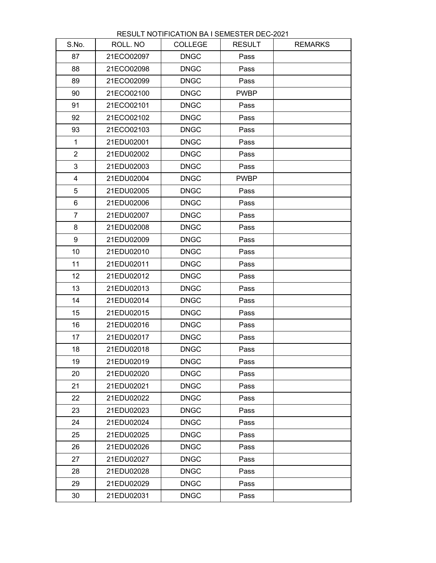| S.No.                   | ROLL. NO   | <b>COLLEGE</b> | <b>RESULT</b> | <b>REMARKS</b> |
|-------------------------|------------|----------------|---------------|----------------|
| 87                      | 21ECO02097 | <b>DNGC</b>    | Pass          |                |
| 88                      | 21ECO02098 | <b>DNGC</b>    | Pass          |                |
| 89                      | 21ECO02099 | <b>DNGC</b>    | Pass          |                |
| 90                      | 21ECO02100 | <b>DNGC</b>    | <b>PWBP</b>   |                |
| 91                      | 21ECO02101 | <b>DNGC</b>    | Pass          |                |
| 92                      | 21ECO02102 | <b>DNGC</b>    | Pass          |                |
| 93                      | 21ECO02103 | <b>DNGC</b>    | Pass          |                |
| $\mathbf 1$             | 21EDU02001 | <b>DNGC</b>    | Pass          |                |
| $\overline{2}$          | 21EDU02002 | <b>DNGC</b>    | Pass          |                |
| 3                       | 21EDU02003 | <b>DNGC</b>    | Pass          |                |
| $\overline{\mathbf{4}}$ | 21EDU02004 | <b>DNGC</b>    | <b>PWBP</b>   |                |
| 5                       | 21EDU02005 | <b>DNGC</b>    | Pass          |                |
| 6                       | 21EDU02006 | <b>DNGC</b>    | Pass          |                |
| $\overline{7}$          | 21EDU02007 | <b>DNGC</b>    | Pass          |                |
| 8                       | 21EDU02008 | <b>DNGC</b>    | Pass          |                |
| 9                       | 21EDU02009 | <b>DNGC</b>    | Pass          |                |
| 10                      | 21EDU02010 | <b>DNGC</b>    | Pass          |                |
| 11                      | 21EDU02011 | <b>DNGC</b>    | Pass          |                |
| 12                      | 21EDU02012 | <b>DNGC</b>    | Pass          |                |
| 13                      | 21EDU02013 | <b>DNGC</b>    | Pass          |                |
| 14                      | 21EDU02014 | <b>DNGC</b>    | Pass          |                |
| 15                      | 21EDU02015 | <b>DNGC</b>    | Pass          |                |
| 16                      | 21EDU02016 | <b>DNGC</b>    | Pass          |                |
| 17                      | 21EDU02017 | <b>DNGC</b>    | Pass          |                |
| 18                      | 21EDU02018 | <b>DNGC</b>    | Pass          |                |
| 19                      | 21EDU02019 | <b>DNGC</b>    | Pass          |                |
| 20                      | 21EDU02020 | <b>DNGC</b>    | Pass          |                |
| 21                      | 21EDU02021 | <b>DNGC</b>    | Pass          |                |
| 22                      | 21EDU02022 | <b>DNGC</b>    | Pass          |                |
| 23                      | 21EDU02023 | <b>DNGC</b>    | Pass          |                |
| 24                      | 21EDU02024 | <b>DNGC</b>    | Pass          |                |
| 25                      | 21EDU02025 | <b>DNGC</b>    | Pass          |                |
| 26                      | 21EDU02026 | <b>DNGC</b>    | Pass          |                |
| 27                      | 21EDU02027 | <b>DNGC</b>    | Pass          |                |
| 28                      | 21EDU02028 | <b>DNGC</b>    | Pass          |                |
| 29                      | 21EDU02029 | <b>DNGC</b>    | Pass          |                |
| 30                      | 21EDU02031 | <b>DNGC</b>    | Pass          |                |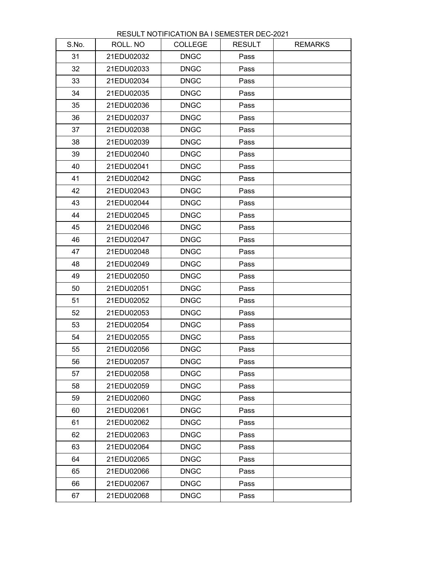| S.No. | ROLL. NO   | <b>COLLEGE</b> | <b>RESULT</b> | <b>REMARKS</b> |
|-------|------------|----------------|---------------|----------------|
| 31    | 21EDU02032 | <b>DNGC</b>    | Pass          |                |
| 32    | 21EDU02033 | <b>DNGC</b>    | Pass          |                |
| 33    | 21EDU02034 | <b>DNGC</b>    | Pass          |                |
| 34    | 21EDU02035 | <b>DNGC</b>    | Pass          |                |
| 35    | 21EDU02036 | <b>DNGC</b>    | Pass          |                |
| 36    | 21EDU02037 | <b>DNGC</b>    | Pass          |                |
| 37    | 21EDU02038 | <b>DNGC</b>    | Pass          |                |
| 38    | 21EDU02039 | <b>DNGC</b>    | Pass          |                |
| 39    | 21EDU02040 | <b>DNGC</b>    | Pass          |                |
| 40    | 21EDU02041 | <b>DNGC</b>    | Pass          |                |
| 41    | 21EDU02042 | <b>DNGC</b>    | Pass          |                |
| 42    | 21EDU02043 | <b>DNGC</b>    | Pass          |                |
| 43    | 21EDU02044 | <b>DNGC</b>    | Pass          |                |
| 44    | 21EDU02045 | <b>DNGC</b>    | Pass          |                |
| 45    | 21EDU02046 | <b>DNGC</b>    | Pass          |                |
| 46    | 21EDU02047 | <b>DNGC</b>    | Pass          |                |
| 47    | 21EDU02048 | <b>DNGC</b>    | Pass          |                |
| 48    | 21EDU02049 | <b>DNGC</b>    | Pass          |                |
| 49    | 21EDU02050 | <b>DNGC</b>    | Pass          |                |
| 50    | 21EDU02051 | <b>DNGC</b>    | Pass          |                |
| 51    | 21EDU02052 | <b>DNGC</b>    | Pass          |                |
| 52    | 21EDU02053 | <b>DNGC</b>    | Pass          |                |
| 53    | 21EDU02054 | <b>DNGC</b>    | Pass          |                |
| 54    | 21EDU02055 | <b>DNGC</b>    | Pass          |                |
| 55    | 21EDU02056 | <b>DNGC</b>    | Pass          |                |
| 56    | 21EDU02057 | <b>DNGC</b>    | Pass          |                |
| 57    | 21EDU02058 | <b>DNGC</b>    | Pass          |                |
| 58    | 21EDU02059 | <b>DNGC</b>    | Pass          |                |
| 59    | 21EDU02060 | <b>DNGC</b>    | Pass          |                |
| 60    | 21EDU02061 | <b>DNGC</b>    | Pass          |                |
| 61    | 21EDU02062 | <b>DNGC</b>    | Pass          |                |
| 62    | 21EDU02063 | <b>DNGC</b>    | Pass          |                |
| 63    | 21EDU02064 | <b>DNGC</b>    | Pass          |                |
| 64    | 21EDU02065 | <b>DNGC</b>    | Pass          |                |
| 65    | 21EDU02066 | <b>DNGC</b>    | Pass          |                |
| 66    | 21EDU02067 | <b>DNGC</b>    | Pass          |                |
| 67    | 21EDU02068 | <b>DNGC</b>    | Pass          |                |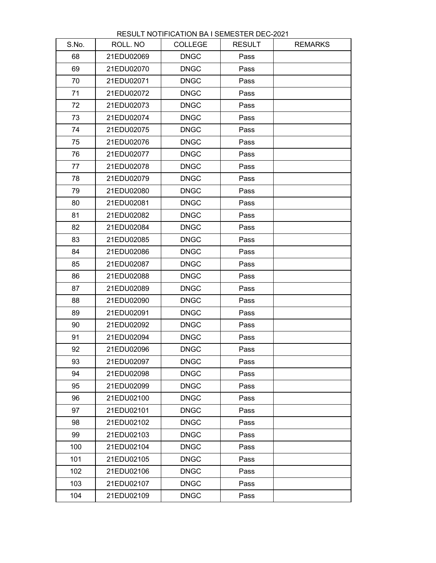| S.No. | ROLL. NO   | <b>COLLEGE</b> | <b>RESULT</b> | <b>REMARKS</b> |
|-------|------------|----------------|---------------|----------------|
| 68    | 21EDU02069 | <b>DNGC</b>    | Pass          |                |
| 69    | 21EDU02070 | <b>DNGC</b>    | Pass          |                |
| 70    | 21EDU02071 | <b>DNGC</b>    | Pass          |                |
| 71    | 21EDU02072 | <b>DNGC</b>    | Pass          |                |
| 72    | 21EDU02073 | <b>DNGC</b>    | Pass          |                |
| 73    | 21EDU02074 | <b>DNGC</b>    | Pass          |                |
| 74    | 21EDU02075 | <b>DNGC</b>    | Pass          |                |
| 75    | 21EDU02076 | <b>DNGC</b>    | Pass          |                |
| 76    | 21EDU02077 | <b>DNGC</b>    | Pass          |                |
| 77    | 21EDU02078 | <b>DNGC</b>    | Pass          |                |
| 78    | 21EDU02079 | <b>DNGC</b>    | Pass          |                |
| 79    | 21EDU02080 | <b>DNGC</b>    | Pass          |                |
| 80    | 21EDU02081 | <b>DNGC</b>    | Pass          |                |
| 81    | 21EDU02082 | <b>DNGC</b>    | Pass          |                |
| 82    | 21EDU02084 | <b>DNGC</b>    | Pass          |                |
| 83    | 21EDU02085 | <b>DNGC</b>    | Pass          |                |
| 84    | 21EDU02086 | <b>DNGC</b>    | Pass          |                |
| 85    | 21EDU02087 | <b>DNGC</b>    | Pass          |                |
| 86    | 21EDU02088 | <b>DNGC</b>    | Pass          |                |
| 87    | 21EDU02089 | <b>DNGC</b>    | Pass          |                |
| 88    | 21EDU02090 | <b>DNGC</b>    | Pass          |                |
| 89    | 21EDU02091 | <b>DNGC</b>    | Pass          |                |
| 90    | 21EDU02092 | <b>DNGC</b>    | Pass          |                |
| 91    | 21EDU02094 | <b>DNGC</b>    | Pass          |                |
| 92    | 21EDU02096 | <b>DNGC</b>    | Pass          |                |
| 93    | 21EDU02097 | <b>DNGC</b>    | Pass          |                |
| 94    | 21EDU02098 | <b>DNGC</b>    | Pass          |                |
| 95    | 21EDU02099 | <b>DNGC</b>    | Pass          |                |
| 96    | 21EDU02100 | <b>DNGC</b>    | Pass          |                |
| 97    | 21EDU02101 | <b>DNGC</b>    | Pass          |                |
| 98    | 21EDU02102 | <b>DNGC</b>    | Pass          |                |
| 99    | 21EDU02103 | <b>DNGC</b>    | Pass          |                |
| 100   | 21EDU02104 | <b>DNGC</b>    | Pass          |                |
| 101   | 21EDU02105 | <b>DNGC</b>    | Pass          |                |
| 102   | 21EDU02106 | <b>DNGC</b>    | Pass          |                |
| 103   | 21EDU02107 | <b>DNGC</b>    | Pass          |                |
| 104   | 21EDU02109 | <b>DNGC</b>    | Pass          |                |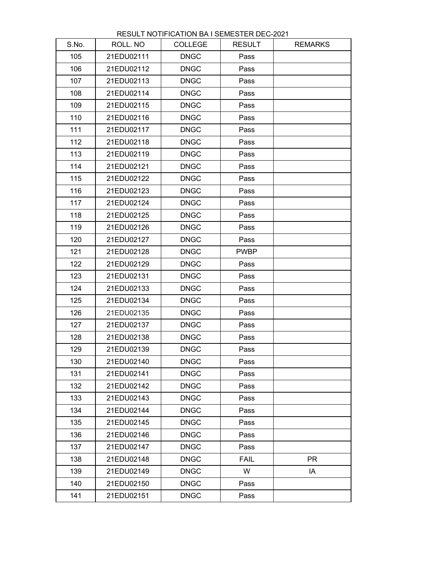| S.No. | ROLL. NO   | <b>COLLEGE</b> | <b>RESULT</b> | <b>REMARKS</b> |
|-------|------------|----------------|---------------|----------------|
| 105   | 21EDU02111 | <b>DNGC</b>    | Pass          |                |
| 106   | 21EDU02112 | <b>DNGC</b>    | Pass          |                |
| 107   | 21EDU02113 | <b>DNGC</b>    | Pass          |                |
| 108   | 21EDU02114 | <b>DNGC</b>    | Pass          |                |
| 109   | 21EDU02115 | <b>DNGC</b>    | Pass          |                |
| 110   | 21EDU02116 | <b>DNGC</b>    | Pass          |                |
| 111   | 21EDU02117 | <b>DNGC</b>    | Pass          |                |
| 112   | 21EDU02118 | <b>DNGC</b>    | Pass          |                |
| 113   | 21EDU02119 | <b>DNGC</b>    | Pass          |                |
| 114   | 21EDU02121 | <b>DNGC</b>    | Pass          |                |
| 115   | 21EDU02122 | <b>DNGC</b>    | Pass          |                |
| 116   | 21EDU02123 | <b>DNGC</b>    | Pass          |                |
| 117   | 21EDU02124 | <b>DNGC</b>    | Pass          |                |
| 118   | 21EDU02125 | <b>DNGC</b>    | Pass          |                |
| 119   | 21EDU02126 | <b>DNGC</b>    | Pass          |                |
| 120   | 21EDU02127 | <b>DNGC</b>    | Pass          |                |
| 121   | 21EDU02128 | <b>DNGC</b>    | <b>PWBP</b>   |                |
| 122   | 21EDU02129 | <b>DNGC</b>    | Pass          |                |
| 123   | 21EDU02131 | <b>DNGC</b>    | Pass          |                |
| 124   | 21EDU02133 | <b>DNGC</b>    | Pass          |                |
| 125   | 21EDU02134 | <b>DNGC</b>    | Pass          |                |
| 126   | 21EDU02135 | <b>DNGC</b>    | Pass          |                |
| 127   | 21EDU02137 | <b>DNGC</b>    | Pass          |                |
| 128   | 21EDU02138 | <b>DNGC</b>    | Pass          |                |
| 129   | 21EDU02139 | <b>DNGC</b>    | Pass          |                |
| 130   | 21EDU02140 | <b>DNGC</b>    | Pass          |                |
| 131   | 21EDU02141 | <b>DNGC</b>    | Pass          |                |
| 132   | 21EDU02142 | <b>DNGC</b>    | Pass          |                |
| 133   | 21EDU02143 | <b>DNGC</b>    | Pass          |                |
| 134   | 21EDU02144 | <b>DNGC</b>    | Pass          |                |
| 135   | 21EDU02145 | <b>DNGC</b>    | Pass          |                |
| 136   | 21EDU02146 | <b>DNGC</b>    | Pass          |                |
| 137   | 21EDU02147 | <b>DNGC</b>    | Pass          |                |
| 138   | 21EDU02148 | <b>DNGC</b>    | <b>FAIL</b>   | <b>PR</b>      |
| 139   | 21EDU02149 | <b>DNGC</b>    | W             | IA             |
| 140   | 21EDU02150 | <b>DNGC</b>    | Pass          |                |
| 141   | 21EDU02151 | <b>DNGC</b>    | Pass          |                |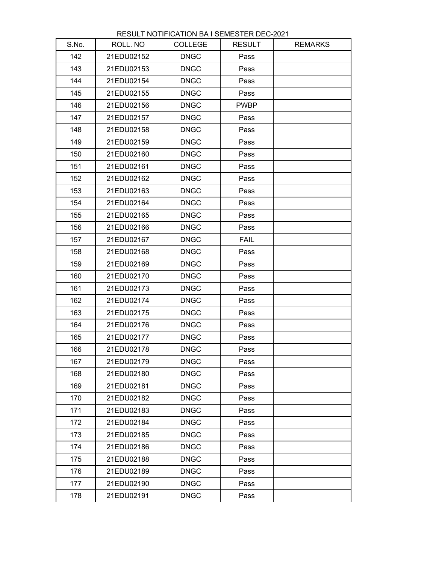| S.No. | ROLL. NO   | <b>COLLEGE</b> | <b>RESULT</b> | <b>REMARKS</b> |
|-------|------------|----------------|---------------|----------------|
| 142   | 21EDU02152 | <b>DNGC</b>    | Pass          |                |
| 143   | 21EDU02153 | <b>DNGC</b>    | Pass          |                |
| 144   | 21EDU02154 | <b>DNGC</b>    | Pass          |                |
| 145   | 21EDU02155 | <b>DNGC</b>    | Pass          |                |
| 146   | 21EDU02156 | <b>DNGC</b>    | <b>PWBP</b>   |                |
| 147   | 21EDU02157 | <b>DNGC</b>    | Pass          |                |
| 148   | 21EDU02158 | <b>DNGC</b>    | Pass          |                |
| 149   | 21EDU02159 | <b>DNGC</b>    | Pass          |                |
| 150   | 21EDU02160 | <b>DNGC</b>    | Pass          |                |
| 151   | 21EDU02161 | <b>DNGC</b>    | Pass          |                |
| 152   | 21EDU02162 | <b>DNGC</b>    | Pass          |                |
| 153   | 21EDU02163 | <b>DNGC</b>    | Pass          |                |
| 154   | 21EDU02164 | <b>DNGC</b>    | Pass          |                |
| 155   | 21EDU02165 | <b>DNGC</b>    | Pass          |                |
| 156   | 21EDU02166 | <b>DNGC</b>    | Pass          |                |
| 157   | 21EDU02167 | <b>DNGC</b>    | <b>FAIL</b>   |                |
| 158   | 21EDU02168 | <b>DNGC</b>    | Pass          |                |
| 159   | 21EDU02169 | <b>DNGC</b>    | Pass          |                |
| 160   | 21EDU02170 | <b>DNGC</b>    | Pass          |                |
| 161   | 21EDU02173 | <b>DNGC</b>    | Pass          |                |
| 162   | 21EDU02174 | <b>DNGC</b>    | Pass          |                |
| 163   | 21EDU02175 | <b>DNGC</b>    | Pass          |                |
| 164   | 21EDU02176 | <b>DNGC</b>    | Pass          |                |
| 165   | 21EDU02177 | <b>DNGC</b>    | Pass          |                |
| 166   | 21EDU02178 | <b>DNGC</b>    | Pass          |                |
| 167   | 21EDU02179 | <b>DNGC</b>    | Pass          |                |
| 168   | 21EDU02180 | <b>DNGC</b>    | Pass          |                |
| 169   | 21EDU02181 | <b>DNGC</b>    | Pass          |                |
| 170   | 21EDU02182 | <b>DNGC</b>    | Pass          |                |
| 171   | 21EDU02183 | <b>DNGC</b>    | Pass          |                |
| 172   | 21EDU02184 | <b>DNGC</b>    | Pass          |                |
| 173   | 21EDU02185 | <b>DNGC</b>    | Pass          |                |
| 174   | 21EDU02186 | <b>DNGC</b>    | Pass          |                |
| 175   | 21EDU02188 | <b>DNGC</b>    | Pass          |                |
| 176   | 21EDU02189 | <b>DNGC</b>    | Pass          |                |
| 177   | 21EDU02190 | <b>DNGC</b>    | Pass          |                |
| 178   | 21EDU02191 | <b>DNGC</b>    | Pass          |                |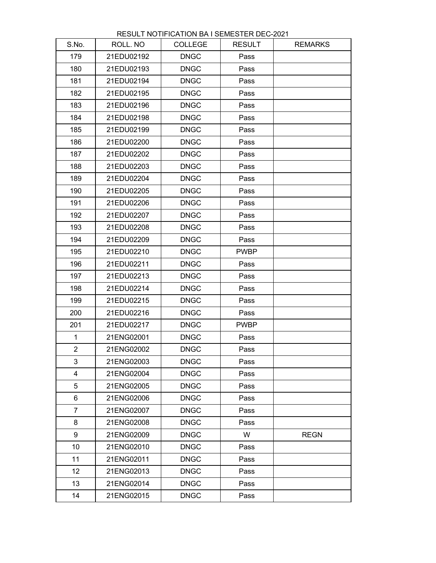| S.No.                   | ROLL. NO   | <b>COLLEGE</b> | <b>RESULT</b> | <b>REMARKS</b> |
|-------------------------|------------|----------------|---------------|----------------|
| 179                     | 21EDU02192 | <b>DNGC</b>    | Pass          |                |
| 180                     | 21EDU02193 | <b>DNGC</b>    | Pass          |                |
| 181                     | 21EDU02194 | <b>DNGC</b>    | Pass          |                |
| 182                     | 21EDU02195 | <b>DNGC</b>    | Pass          |                |
| 183                     | 21EDU02196 | <b>DNGC</b>    | Pass          |                |
| 184                     | 21EDU02198 | <b>DNGC</b>    | Pass          |                |
| 185                     | 21EDU02199 | <b>DNGC</b>    | Pass          |                |
| 186                     | 21EDU02200 | <b>DNGC</b>    | Pass          |                |
| 187                     | 21EDU02202 | <b>DNGC</b>    | Pass          |                |
| 188                     | 21EDU02203 | <b>DNGC</b>    | Pass          |                |
| 189                     | 21EDU02204 | <b>DNGC</b>    | Pass          |                |
| 190                     | 21EDU02205 | <b>DNGC</b>    | Pass          |                |
| 191                     | 21EDU02206 | <b>DNGC</b>    | Pass          |                |
| 192                     | 21EDU02207 | <b>DNGC</b>    | Pass          |                |
| 193                     | 21EDU02208 | <b>DNGC</b>    | Pass          |                |
| 194                     | 21EDU02209 | <b>DNGC</b>    | Pass          |                |
| 195                     | 21EDU02210 | <b>DNGC</b>    | <b>PWBP</b>   |                |
| 196                     | 21EDU02211 | <b>DNGC</b>    | Pass          |                |
| 197                     | 21EDU02213 | <b>DNGC</b>    | Pass          |                |
| 198                     | 21EDU02214 | <b>DNGC</b>    | Pass          |                |
| 199                     | 21EDU02215 | <b>DNGC</b>    | Pass          |                |
| 200                     | 21EDU02216 | <b>DNGC</b>    | Pass          |                |
| 201                     | 21EDU02217 | <b>DNGC</b>    | <b>PWBP</b>   |                |
| 1                       | 21ENG02001 | <b>DNGC</b>    | Pass          |                |
| $\overline{2}$          | 21ENG02002 | <b>DNGC</b>    | Pass          |                |
| 3                       | 21ENG02003 | <b>DNGC</b>    | Pass          |                |
| $\overline{\mathbf{4}}$ | 21ENG02004 | <b>DNGC</b>    | Pass          |                |
| 5                       | 21ENG02005 | <b>DNGC</b>    | Pass          |                |
| 6                       | 21ENG02006 | <b>DNGC</b>    | Pass          |                |
| $\overline{7}$          | 21ENG02007 | <b>DNGC</b>    | Pass          |                |
| 8                       | 21ENG02008 | <b>DNGC</b>    | Pass          |                |
| 9                       | 21ENG02009 | <b>DNGC</b>    | W             | <b>REGN</b>    |
| 10                      | 21ENG02010 | <b>DNGC</b>    | Pass          |                |
| 11                      | 21ENG02011 | <b>DNGC</b>    | Pass          |                |
| 12 <sub>2</sub>         | 21ENG02013 | <b>DNGC</b>    | Pass          |                |
| 13                      | 21ENG02014 | <b>DNGC</b>    | Pass          |                |
| 14                      | 21ENG02015 | <b>DNGC</b>    | Pass          |                |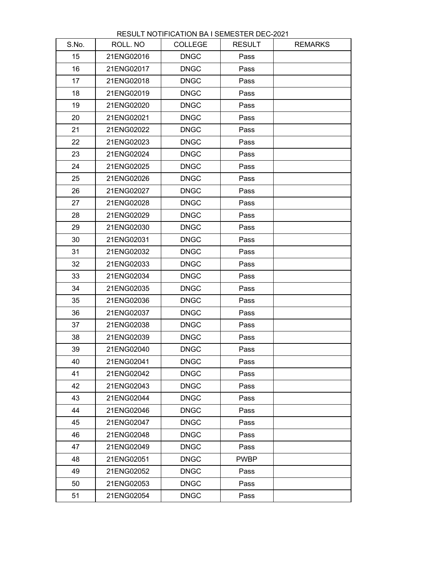| S.No. | ROLL. NO   | <b>COLLEGE</b> | <b>RESULT</b> | <b>REMARKS</b> |
|-------|------------|----------------|---------------|----------------|
| 15    | 21ENG02016 | <b>DNGC</b>    | Pass          |                |
| 16    | 21ENG02017 | <b>DNGC</b>    | Pass          |                |
| 17    | 21ENG02018 | <b>DNGC</b>    | Pass          |                |
| 18    | 21ENG02019 | <b>DNGC</b>    | Pass          |                |
| 19    | 21ENG02020 | <b>DNGC</b>    | Pass          |                |
| 20    | 21ENG02021 | <b>DNGC</b>    | Pass          |                |
| 21    | 21ENG02022 | <b>DNGC</b>    | Pass          |                |
| 22    | 21ENG02023 | <b>DNGC</b>    | Pass          |                |
| 23    | 21ENG02024 | <b>DNGC</b>    | Pass          |                |
| 24    | 21ENG02025 | <b>DNGC</b>    | Pass          |                |
| 25    | 21ENG02026 | <b>DNGC</b>    | Pass          |                |
| 26    | 21ENG02027 | <b>DNGC</b>    | Pass          |                |
| 27    | 21ENG02028 | <b>DNGC</b>    | Pass          |                |
| 28    | 21ENG02029 | <b>DNGC</b>    | Pass          |                |
| 29    | 21ENG02030 | <b>DNGC</b>    | Pass          |                |
| 30    | 21ENG02031 | <b>DNGC</b>    | Pass          |                |
| 31    | 21ENG02032 | <b>DNGC</b>    | Pass          |                |
| 32    | 21ENG02033 | <b>DNGC</b>    | Pass          |                |
| 33    | 21ENG02034 | <b>DNGC</b>    | Pass          |                |
| 34    | 21ENG02035 | <b>DNGC</b>    | Pass          |                |
| 35    | 21ENG02036 | <b>DNGC</b>    | Pass          |                |
| 36    | 21ENG02037 | <b>DNGC</b>    | Pass          |                |
| 37    | 21ENG02038 | <b>DNGC</b>    | Pass          |                |
| 38    | 21ENG02039 | <b>DNGC</b>    | Pass          |                |
| 39    | 21ENG02040 | <b>DNGC</b>    | Pass          |                |
| 40    | 21ENG02041 | <b>DNGC</b>    | Pass          |                |
| 41    | 21ENG02042 | <b>DNGC</b>    | Pass          |                |
| 42    | 21ENG02043 | <b>DNGC</b>    | Pass          |                |
| 43    | 21ENG02044 | <b>DNGC</b>    | Pass          |                |
| 44    | 21ENG02046 | <b>DNGC</b>    | Pass          |                |
| 45    | 21ENG02047 | <b>DNGC</b>    | Pass          |                |
| 46    | 21ENG02048 | <b>DNGC</b>    | Pass          |                |
| 47    | 21ENG02049 | <b>DNGC</b>    | Pass          |                |
| 48    | 21ENG02051 | <b>DNGC</b>    | <b>PWBP</b>   |                |
| 49    | 21ENG02052 | <b>DNGC</b>    | Pass          |                |
| 50    | 21ENG02053 | <b>DNGC</b>    | Pass          |                |
| 51    | 21ENG02054 | <b>DNGC</b>    | Pass          |                |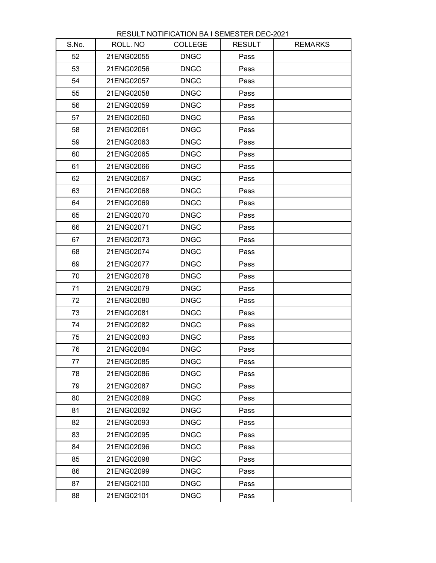| S.No. | ROLL. NO   | <b>COLLEGE</b> | <b>RESULT</b> | <b>REMARKS</b> |
|-------|------------|----------------|---------------|----------------|
| 52    | 21ENG02055 | <b>DNGC</b>    | Pass          |                |
| 53    | 21ENG02056 | <b>DNGC</b>    | Pass          |                |
| 54    | 21ENG02057 | <b>DNGC</b>    | Pass          |                |
| 55    | 21ENG02058 | <b>DNGC</b>    | Pass          |                |
| 56    | 21ENG02059 | <b>DNGC</b>    | Pass          |                |
| 57    | 21ENG02060 | <b>DNGC</b>    | Pass          |                |
| 58    | 21ENG02061 | <b>DNGC</b>    | Pass          |                |
| 59    | 21ENG02063 | <b>DNGC</b>    | Pass          |                |
| 60    | 21ENG02065 | <b>DNGC</b>    | Pass          |                |
| 61    | 21ENG02066 | <b>DNGC</b>    | Pass          |                |
| 62    | 21ENG02067 | <b>DNGC</b>    | Pass          |                |
| 63    | 21ENG02068 | <b>DNGC</b>    | Pass          |                |
| 64    | 21ENG02069 | <b>DNGC</b>    | Pass          |                |
| 65    | 21ENG02070 | <b>DNGC</b>    | Pass          |                |
| 66    | 21ENG02071 | <b>DNGC</b>    | Pass          |                |
| 67    | 21ENG02073 | <b>DNGC</b>    | Pass          |                |
| 68    | 21ENG02074 | <b>DNGC</b>    | Pass          |                |
| 69    | 21ENG02077 | <b>DNGC</b>    | Pass          |                |
| 70    | 21ENG02078 | <b>DNGC</b>    | Pass          |                |
| 71    | 21ENG02079 | <b>DNGC</b>    | Pass          |                |
| 72    | 21ENG02080 | <b>DNGC</b>    | Pass          |                |
| 73    | 21ENG02081 | <b>DNGC</b>    | Pass          |                |
| 74    | 21ENG02082 | <b>DNGC</b>    | Pass          |                |
| 75    | 21ENG02083 | <b>DNGC</b>    | Pass          |                |
| 76    | 21ENG02084 | <b>DNGC</b>    | Pass          |                |
| 77    | 21ENG02085 | <b>DNGC</b>    | Pass          |                |
| 78    | 21ENG02086 | <b>DNGC</b>    | Pass          |                |
| 79    | 21ENG02087 | <b>DNGC</b>    | Pass          |                |
| 80    | 21ENG02089 | <b>DNGC</b>    | Pass          |                |
| 81    | 21ENG02092 | <b>DNGC</b>    | Pass          |                |
| 82    | 21ENG02093 | <b>DNGC</b>    | Pass          |                |
| 83    | 21ENG02095 | <b>DNGC</b>    | Pass          |                |
| 84    | 21ENG02096 | <b>DNGC</b>    | Pass          |                |
| 85    | 21ENG02098 | <b>DNGC</b>    | Pass          |                |
| 86    | 21ENG02099 | <b>DNGC</b>    | Pass          |                |
| 87    | 21ENG02100 | <b>DNGC</b>    | Pass          |                |
| 88    | 21ENG02101 | <b>DNGC</b>    | Pass          |                |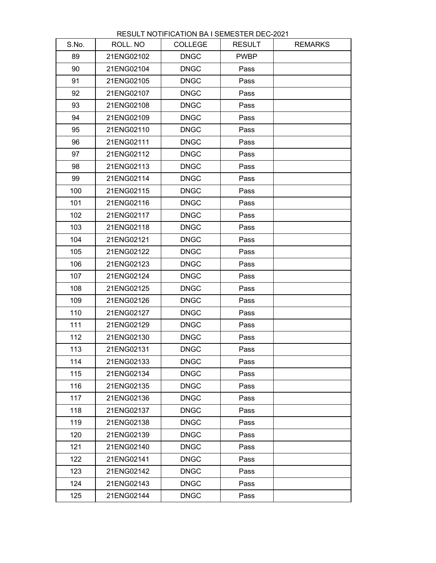| S.No. | ROLL. NO   | <b>COLLEGE</b> | <b>RESULT</b> | <b>REMARKS</b> |
|-------|------------|----------------|---------------|----------------|
| 89    | 21ENG02102 | <b>DNGC</b>    | <b>PWBP</b>   |                |
| 90    | 21ENG02104 | <b>DNGC</b>    | Pass          |                |
| 91    | 21ENG02105 | <b>DNGC</b>    | Pass          |                |
| 92    | 21ENG02107 | <b>DNGC</b>    | Pass          |                |
| 93    | 21ENG02108 | <b>DNGC</b>    | Pass          |                |
| 94    | 21ENG02109 | <b>DNGC</b>    | Pass          |                |
| 95    | 21ENG02110 | <b>DNGC</b>    | Pass          |                |
| 96    | 21ENG02111 | <b>DNGC</b>    | Pass          |                |
| 97    | 21ENG02112 | <b>DNGC</b>    | Pass          |                |
| 98    | 21ENG02113 | <b>DNGC</b>    | Pass          |                |
| 99    | 21ENG02114 | <b>DNGC</b>    | Pass          |                |
| 100   | 21ENG02115 | <b>DNGC</b>    | Pass          |                |
| 101   | 21ENG02116 | <b>DNGC</b>    | Pass          |                |
| 102   | 21ENG02117 | <b>DNGC</b>    | Pass          |                |
| 103   | 21ENG02118 | <b>DNGC</b>    | Pass          |                |
| 104   | 21ENG02121 | <b>DNGC</b>    | Pass          |                |
| 105   | 21ENG02122 | <b>DNGC</b>    | Pass          |                |
| 106   | 21ENG02123 | <b>DNGC</b>    | Pass          |                |
| 107   | 21ENG02124 | <b>DNGC</b>    | Pass          |                |
| 108   | 21ENG02125 | <b>DNGC</b>    | Pass          |                |
| 109   | 21ENG02126 | <b>DNGC</b>    | Pass          |                |
| 110   | 21ENG02127 | <b>DNGC</b>    | Pass          |                |
| 111   | 21ENG02129 | <b>DNGC</b>    | Pass          |                |
| 112   | 21ENG02130 | <b>DNGC</b>    | Pass          |                |
| 113   | 21ENG02131 | <b>DNGC</b>    | Pass          |                |
| 114   | 21ENG02133 | <b>DNGC</b>    | Pass          |                |
| 115   | 21ENG02134 | <b>DNGC</b>    | Pass          |                |
| 116   | 21ENG02135 | <b>DNGC</b>    | Pass          |                |
| 117   | 21ENG02136 | <b>DNGC</b>    | Pass          |                |
| 118   | 21ENG02137 | <b>DNGC</b>    | Pass          |                |
| 119   | 21ENG02138 | <b>DNGC</b>    | Pass          |                |
| 120   | 21ENG02139 | <b>DNGC</b>    | Pass          |                |
| 121   | 21ENG02140 | <b>DNGC</b>    | Pass          |                |
| 122   | 21ENG02141 | <b>DNGC</b>    | Pass          |                |
| 123   | 21ENG02142 | <b>DNGC</b>    | Pass          |                |
| 124   | 21ENG02143 | <b>DNGC</b>    | Pass          |                |
| 125   | 21ENG02144 | <b>DNGC</b>    | Pass          |                |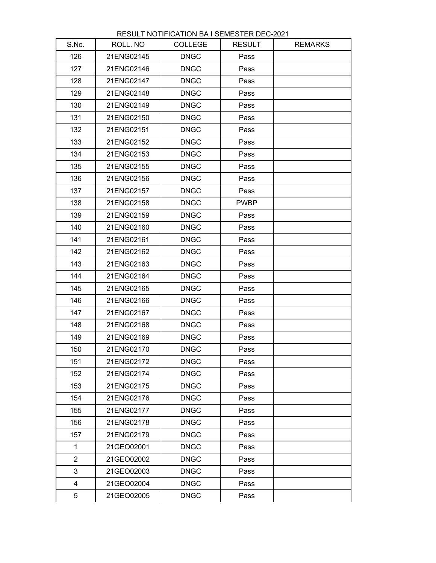| S.No.          | ROLL. NO   | <b>COLLEGE</b> | <b>RESULT</b> | <b>REMARKS</b> |
|----------------|------------|----------------|---------------|----------------|
| 126            | 21ENG02145 | <b>DNGC</b>    | Pass          |                |
| 127            | 21ENG02146 | <b>DNGC</b>    | Pass          |                |
| 128            | 21ENG02147 | <b>DNGC</b>    | Pass          |                |
| 129            | 21ENG02148 | <b>DNGC</b>    | Pass          |                |
| 130            | 21ENG02149 | <b>DNGC</b>    | Pass          |                |
| 131            | 21ENG02150 | <b>DNGC</b>    | Pass          |                |
| 132            | 21ENG02151 | <b>DNGC</b>    | Pass          |                |
| 133            | 21ENG02152 | <b>DNGC</b>    | Pass          |                |
| 134            | 21ENG02153 | <b>DNGC</b>    | Pass          |                |
| 135            | 21ENG02155 | <b>DNGC</b>    | Pass          |                |
| 136            | 21ENG02156 | <b>DNGC</b>    | Pass          |                |
| 137            | 21ENG02157 | <b>DNGC</b>    | Pass          |                |
| 138            | 21ENG02158 | <b>DNGC</b>    | <b>PWBP</b>   |                |
| 139            | 21ENG02159 | <b>DNGC</b>    | Pass          |                |
| 140            | 21ENG02160 | <b>DNGC</b>    | Pass          |                |
| 141            | 21ENG02161 | <b>DNGC</b>    | Pass          |                |
| 142            | 21ENG02162 | <b>DNGC</b>    | Pass          |                |
| 143            | 21ENG02163 | <b>DNGC</b>    | Pass          |                |
| 144            | 21ENG02164 | <b>DNGC</b>    | Pass          |                |
| 145            | 21ENG02165 | <b>DNGC</b>    | Pass          |                |
| 146            | 21ENG02166 | <b>DNGC</b>    | Pass          |                |
| 147            | 21ENG02167 | <b>DNGC</b>    | Pass          |                |
| 148            | 21ENG02168 | <b>DNGC</b>    | Pass          |                |
| 149            | 21ENG02169 | <b>DNGC</b>    | Pass          |                |
| 150            | 21ENG02170 | <b>DNGC</b>    | Pass          |                |
| 151            | 21ENG02172 | <b>DNGC</b>    | Pass          |                |
| 152            | 21ENG02174 | <b>DNGC</b>    | Pass          |                |
| 153            | 21ENG02175 | <b>DNGC</b>    | Pass          |                |
| 154            | 21ENG02176 | <b>DNGC</b>    | Pass          |                |
| 155            | 21ENG02177 | <b>DNGC</b>    | Pass          |                |
| 156            | 21ENG02178 | <b>DNGC</b>    | Pass          |                |
| 157            | 21ENG02179 | <b>DNGC</b>    | Pass          |                |
| 1              | 21GEO02001 | <b>DNGC</b>    | Pass          |                |
| $\overline{2}$ | 21GEO02002 | <b>DNGC</b>    | Pass          |                |
| 3              | 21GEO02003 | <b>DNGC</b>    | Pass          |                |
| $\overline{4}$ | 21GEO02004 | <b>DNGC</b>    | Pass          |                |
| 5              | 21GEO02005 | <b>DNGC</b>    | Pass          |                |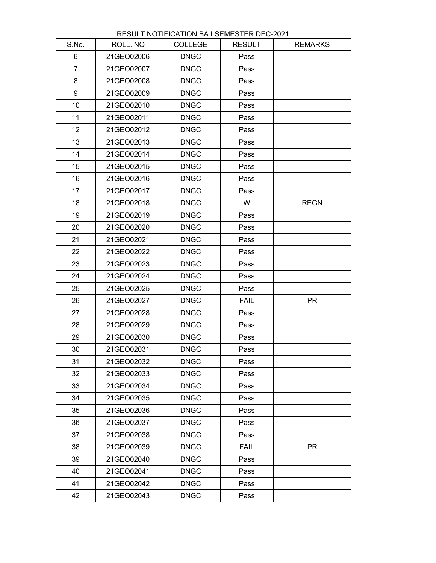| S.No.           | ROLL. NO   | <b>COLLEGE</b> | <b>RESULT</b> | <b>REMARKS</b> |
|-----------------|------------|----------------|---------------|----------------|
| 6               | 21GEO02006 | <b>DNGC</b>    | Pass          |                |
| $\overline{7}$  | 21GEO02007 | <b>DNGC</b>    | Pass          |                |
| 8               | 21GEO02008 | <b>DNGC</b>    | Pass          |                |
| 9               | 21GEO02009 | <b>DNGC</b>    | Pass          |                |
| 10              | 21GEO02010 | <b>DNGC</b>    | Pass          |                |
| 11              | 21GEO02011 | <b>DNGC</b>    | Pass          |                |
| 12 <sub>2</sub> | 21GEO02012 | <b>DNGC</b>    | Pass          |                |
| 13              | 21GEO02013 | <b>DNGC</b>    | Pass          |                |
| 14              | 21GEO02014 | <b>DNGC</b>    | Pass          |                |
| 15              | 21GEO02015 | <b>DNGC</b>    | Pass          |                |
| 16              | 21GEO02016 | <b>DNGC</b>    | Pass          |                |
| 17              | 21GEO02017 | <b>DNGC</b>    | Pass          |                |
| 18              | 21GEO02018 | <b>DNGC</b>    | W             | <b>REGN</b>    |
| 19              | 21GEO02019 | <b>DNGC</b>    | Pass          |                |
| 20              | 21GEO02020 | <b>DNGC</b>    | Pass          |                |
| 21              | 21GEO02021 | <b>DNGC</b>    | Pass          |                |
| 22              | 21GEO02022 | <b>DNGC</b>    | Pass          |                |
| 23              | 21GEO02023 | <b>DNGC</b>    | Pass          |                |
| 24              | 21GEO02024 | <b>DNGC</b>    | Pass          |                |
| 25              | 21GEO02025 | <b>DNGC</b>    | Pass          |                |
| 26              | 21GEO02027 | <b>DNGC</b>    | <b>FAIL</b>   | <b>PR</b>      |
| 27              | 21GEO02028 | <b>DNGC</b>    | Pass          |                |
| 28              | 21GEO02029 | <b>DNGC</b>    | Pass          |                |
| 29              | 21GEO02030 | <b>DNGC</b>    | Pass          |                |
| 30              | 21GEO02031 | <b>DNGC</b>    | Pass          |                |
| 31              | 21GEO02032 | <b>DNGC</b>    | Pass          |                |
| 32              | 21GEO02033 | <b>DNGC</b>    | Pass          |                |
| 33              | 21GEO02034 | <b>DNGC</b>    | Pass          |                |
| 34              | 21GEO02035 | <b>DNGC</b>    | Pass          |                |
| 35              | 21GEO02036 | <b>DNGC</b>    | Pass          |                |
| 36              | 21GEO02037 | <b>DNGC</b>    | Pass          |                |
| 37              | 21GEO02038 | <b>DNGC</b>    | Pass          |                |
| 38              | 21GEO02039 | <b>DNGC</b>    | <b>FAIL</b>   | <b>PR</b>      |
| 39              | 21GEO02040 | <b>DNGC</b>    | Pass          |                |
| 40              | 21GEO02041 | <b>DNGC</b>    | Pass          |                |
| 41              | 21GEO02042 | <b>DNGC</b>    | Pass          |                |
| 42              | 21GEO02043 | <b>DNGC</b>    | Pass          |                |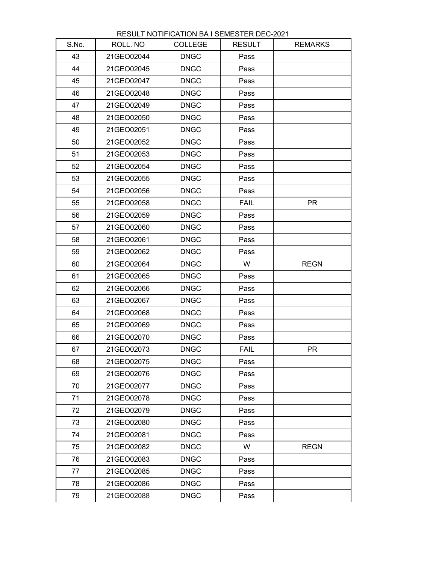| S.No. | ROLL. NO   | <b>COLLEGE</b> | <b>RESULT</b> | <b>REMARKS</b> |
|-------|------------|----------------|---------------|----------------|
| 43    | 21GEO02044 | <b>DNGC</b>    | Pass          |                |
| 44    | 21GEO02045 | <b>DNGC</b>    | Pass          |                |
| 45    | 21GEO02047 | <b>DNGC</b>    | Pass          |                |
| 46    | 21GEO02048 | <b>DNGC</b>    | Pass          |                |
| 47    | 21GEO02049 | <b>DNGC</b>    | Pass          |                |
| 48    | 21GEO02050 | <b>DNGC</b>    | Pass          |                |
| 49    | 21GEO02051 | <b>DNGC</b>    | Pass          |                |
| 50    | 21GEO02052 | <b>DNGC</b>    | Pass          |                |
| 51    | 21GEO02053 | <b>DNGC</b>    | Pass          |                |
| 52    | 21GEO02054 | <b>DNGC</b>    | Pass          |                |
| 53    | 21GEO02055 | <b>DNGC</b>    | Pass          |                |
| 54    | 21GEO02056 | <b>DNGC</b>    | Pass          |                |
| 55    | 21GEO02058 | <b>DNGC</b>    | <b>FAIL</b>   | <b>PR</b>      |
| 56    | 21GEO02059 | <b>DNGC</b>    | Pass          |                |
| 57    | 21GEO02060 | <b>DNGC</b>    | Pass          |                |
| 58    | 21GEO02061 | <b>DNGC</b>    | Pass          |                |
| 59    | 21GEO02062 | <b>DNGC</b>    | Pass          |                |
| 60    | 21GEO02064 | <b>DNGC</b>    | W             | <b>REGN</b>    |
| 61    | 21GEO02065 | <b>DNGC</b>    | Pass          |                |
| 62    | 21GEO02066 | <b>DNGC</b>    | Pass          |                |
| 63    | 21GEO02067 | <b>DNGC</b>    | Pass          |                |
| 64    | 21GEO02068 | <b>DNGC</b>    | Pass          |                |
| 65    | 21GEO02069 | <b>DNGC</b>    | Pass          |                |
| 66    | 21GEO02070 | <b>DNGC</b>    | Pass          |                |
| 67    | 21GEO02073 | <b>DNGC</b>    | <b>FAIL</b>   | <b>PR</b>      |
| 68    | 21GEO02075 | <b>DNGC</b>    | Pass          |                |
| 69    | 21GEO02076 | <b>DNGC</b>    | Pass          |                |
| 70    | 21GEO02077 | <b>DNGC</b>    | Pass          |                |
| 71    | 21GEO02078 | <b>DNGC</b>    | Pass          |                |
| 72    | 21GEO02079 | <b>DNGC</b>    | Pass          |                |
| 73    | 21GEO02080 | <b>DNGC</b>    | Pass          |                |
| 74    | 21GEO02081 | <b>DNGC</b>    | Pass          |                |
| 75    | 21GEO02082 | <b>DNGC</b>    | W             | <b>REGN</b>    |
| 76    | 21GEO02083 | <b>DNGC</b>    | Pass          |                |
| 77    | 21GEO02085 | <b>DNGC</b>    | Pass          |                |
| 78    | 21GEO02086 | <b>DNGC</b>    | Pass          |                |
| 79    | 21GEO02088 | <b>DNGC</b>    | Pass          |                |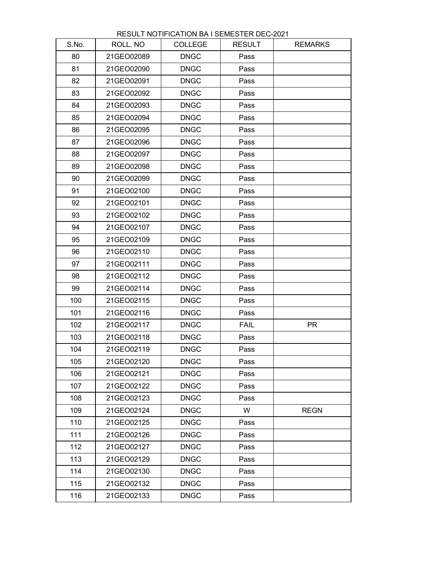| S.No. | ROLL. NO   | <b>COLLEGE</b> | <b>RESULT</b> | <b>REMARKS</b> |
|-------|------------|----------------|---------------|----------------|
| 80    | 21GEO02089 | <b>DNGC</b>    | Pass          |                |
| 81    | 21GEO02090 | <b>DNGC</b>    | Pass          |                |
| 82    | 21GEO02091 | <b>DNGC</b>    | Pass          |                |
| 83    | 21GEO02092 | <b>DNGC</b>    | Pass          |                |
| 84    | 21GEO02093 | <b>DNGC</b>    | Pass          |                |
| 85    | 21GEO02094 | <b>DNGC</b>    | Pass          |                |
| 86    | 21GEO02095 | <b>DNGC</b>    | Pass          |                |
| 87    | 21GEO02096 | <b>DNGC</b>    | Pass          |                |
| 88    | 21GEO02097 | <b>DNGC</b>    | Pass          |                |
| 89    | 21GEO02098 | <b>DNGC</b>    | Pass          |                |
| 90    | 21GEO02099 | <b>DNGC</b>    | Pass          |                |
| 91    | 21GEO02100 | <b>DNGC</b>    | Pass          |                |
| 92    | 21GEO02101 | <b>DNGC</b>    | Pass          |                |
| 93    | 21GEO02102 | <b>DNGC</b>    | Pass          |                |
| 94    | 21GEO02107 | <b>DNGC</b>    | Pass          |                |
| 95    | 21GEO02109 | <b>DNGC</b>    | Pass          |                |
| 96    | 21GEO02110 | <b>DNGC</b>    | Pass          |                |
| 97    | 21GEO02111 | <b>DNGC</b>    | Pass          |                |
| 98    | 21GEO02112 | <b>DNGC</b>    | Pass          |                |
| 99    | 21GEO02114 | <b>DNGC</b>    | Pass          |                |
| 100   | 21GEO02115 | <b>DNGC</b>    | Pass          |                |
| 101   | 21GEO02116 | <b>DNGC</b>    | Pass          |                |
| 102   | 21GEO02117 | <b>DNGC</b>    | <b>FAIL</b>   | <b>PR</b>      |
| 103   | 21GEO02118 | <b>DNGC</b>    | Pass          |                |
| 104   | 21GEO02119 | <b>DNGC</b>    | Pass          |                |
| 105   | 21GEO02120 | <b>DNGC</b>    | Pass          |                |
| 106   | 21GEO02121 | <b>DNGC</b>    | Pass          |                |
| 107   | 21GEO02122 | <b>DNGC</b>    | Pass          |                |
| 108   | 21GEO02123 | <b>DNGC</b>    | Pass          |                |
| 109   | 21GEO02124 | <b>DNGC</b>    | W             | <b>REGN</b>    |
| 110   | 21GEO02125 | <b>DNGC</b>    | Pass          |                |
| 111   | 21GEO02126 | <b>DNGC</b>    | Pass          |                |
| 112   | 21GEO02127 | <b>DNGC</b>    | Pass          |                |
| 113   | 21GEO02129 | <b>DNGC</b>    | Pass          |                |
| 114   | 21GEO02130 | <b>DNGC</b>    | Pass          |                |
| 115   | 21GEO02132 | <b>DNGC</b>    | Pass          |                |
| 116   | 21GEO02133 | <b>DNGC</b>    | Pass          |                |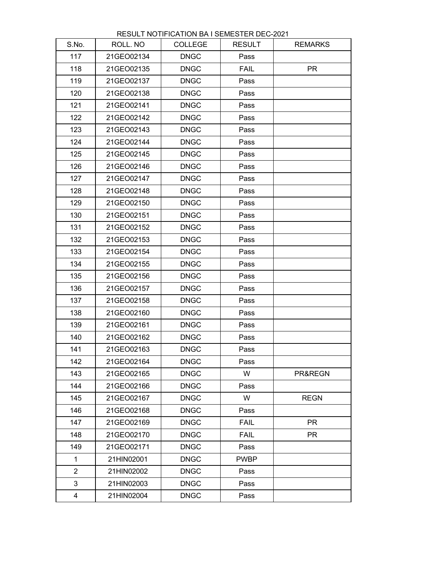| S.No.          | ROLL. NO   | <b>COLLEGE</b> | <b>RESULT</b> | <b>REMARKS</b> |
|----------------|------------|----------------|---------------|----------------|
| 117            | 21GEO02134 | <b>DNGC</b>    | Pass          |                |
| 118            | 21GEO02135 | <b>DNGC</b>    | <b>FAIL</b>   | <b>PR</b>      |
| 119            | 21GEO02137 | <b>DNGC</b>    | Pass          |                |
| 120            | 21GEO02138 | <b>DNGC</b>    | Pass          |                |
| 121            | 21GEO02141 | <b>DNGC</b>    | Pass          |                |
| 122            | 21GEO02142 | <b>DNGC</b>    | Pass          |                |
| 123            | 21GEO02143 | <b>DNGC</b>    | Pass          |                |
| 124            | 21GEO02144 | <b>DNGC</b>    | Pass          |                |
| 125            | 21GEO02145 | <b>DNGC</b>    | Pass          |                |
| 126            | 21GEO02146 | <b>DNGC</b>    | Pass          |                |
| 127            | 21GEO02147 | <b>DNGC</b>    | Pass          |                |
| 128            | 21GEO02148 | <b>DNGC</b>    | Pass          |                |
| 129            | 21GEO02150 | <b>DNGC</b>    | Pass          |                |
| 130            | 21GEO02151 | <b>DNGC</b>    | Pass          |                |
| 131            | 21GEO02152 | <b>DNGC</b>    | Pass          |                |
| 132            | 21GEO02153 | <b>DNGC</b>    | Pass          |                |
| 133            | 21GEO02154 | <b>DNGC</b>    | Pass          |                |
| 134            | 21GEO02155 | <b>DNGC</b>    | Pass          |                |
| 135            | 21GEO02156 | <b>DNGC</b>    | Pass          |                |
| 136            | 21GEO02157 | <b>DNGC</b>    | Pass          |                |
| 137            | 21GEO02158 | <b>DNGC</b>    | Pass          |                |
| 138            | 21GEO02160 | <b>DNGC</b>    | Pass          |                |
| 139            | 21GEO02161 | <b>DNGC</b>    | Pass          |                |
| 140            | 21GEO02162 | <b>DNGC</b>    | Pass          |                |
| 141            | 21GEO02163 | <b>DNGC</b>    | Pass          |                |
| 142            | 21GEO02164 | <b>DNGC</b>    | Pass          |                |
| 143            | 21GEO02165 | <b>DNGC</b>    | W             | PR&REGN        |
| 144            | 21GEO02166 | <b>DNGC</b>    | Pass          |                |
| 145            | 21GEO02167 | <b>DNGC</b>    | W             | <b>REGN</b>    |
| 146            | 21GEO02168 | <b>DNGC</b>    | Pass          |                |
| 147            | 21GEO02169 | <b>DNGC</b>    | <b>FAIL</b>   | <b>PR</b>      |
| 148            | 21GEO02170 | <b>DNGC</b>    | <b>FAIL</b>   | <b>PR</b>      |
| 149            | 21GEO02171 | <b>DNGC</b>    | Pass          |                |
| $\mathbf{1}$   | 21HIN02001 | <b>DNGC</b>    | <b>PWBP</b>   |                |
| $\overline{2}$ | 21HIN02002 | <b>DNGC</b>    | Pass          |                |
| 3              | 21HIN02003 | <b>DNGC</b>    | Pass          |                |
| 4              | 21HIN02004 | <b>DNGC</b>    | Pass          |                |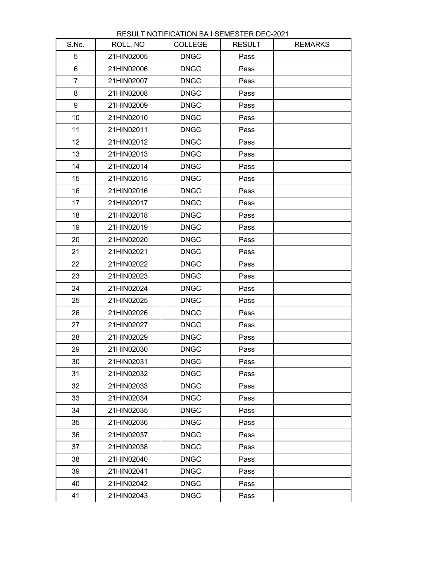| S.No.          | ROLL. NO   | <b>COLLEGE</b> | <b>RESULT</b> | <b>REMARKS</b> |
|----------------|------------|----------------|---------------|----------------|
| 5              | 21HIN02005 | <b>DNGC</b>    | Pass          |                |
| 6              | 21HIN02006 | <b>DNGC</b>    | Pass          |                |
| $\overline{7}$ | 21HIN02007 | <b>DNGC</b>    | Pass          |                |
| 8              | 21HIN02008 | <b>DNGC</b>    | Pass          |                |
| 9              | 21HIN02009 | <b>DNGC</b>    | Pass          |                |
| 10             | 21HIN02010 | <b>DNGC</b>    | Pass          |                |
| 11             | 21HIN02011 | <b>DNGC</b>    | Pass          |                |
| 12             | 21HIN02012 | <b>DNGC</b>    | Pass          |                |
| 13             | 21HIN02013 | <b>DNGC</b>    | Pass          |                |
| 14             | 21HIN02014 | <b>DNGC</b>    | Pass          |                |
| 15             | 21HIN02015 | <b>DNGC</b>    | Pass          |                |
| 16             | 21HIN02016 | <b>DNGC</b>    | Pass          |                |
| 17             | 21HIN02017 | <b>DNGC</b>    | Pass          |                |
| 18             | 21HIN02018 | <b>DNGC</b>    | Pass          |                |
| 19             | 21HIN02019 | <b>DNGC</b>    | Pass          |                |
| 20             | 21HIN02020 | <b>DNGC</b>    | Pass          |                |
| 21             | 21HIN02021 | <b>DNGC</b>    | Pass          |                |
| 22             | 21HIN02022 | <b>DNGC</b>    | Pass          |                |
| 23             | 21HIN02023 | <b>DNGC</b>    | Pass          |                |
| 24             | 21HIN02024 | <b>DNGC</b>    | Pass          |                |
| 25             | 21HIN02025 | <b>DNGC</b>    | Pass          |                |
| 26             | 21HIN02026 | <b>DNGC</b>    | Pass          |                |
| 27             | 21HIN02027 | <b>DNGC</b>    | Pass          |                |
| 28             | 21HIN02029 | <b>DNGC</b>    | Pass          |                |
| 29             | 21HIN02030 | <b>DNGC</b>    | Pass          |                |
| 30             | 21HIN02031 | <b>DNGC</b>    | Pass          |                |
| 31             | 21HIN02032 | <b>DNGC</b>    | Pass          |                |
| 32             | 21HIN02033 | <b>DNGC</b>    | Pass          |                |
| 33             | 21HIN02034 | <b>DNGC</b>    | Pass          |                |
| 34             | 21HIN02035 | <b>DNGC</b>    | Pass          |                |
| 35             | 21HIN02036 | <b>DNGC</b>    | Pass          |                |
| 36             | 21HIN02037 | <b>DNGC</b>    | Pass          |                |
| 37             | 21HIN02038 | <b>DNGC</b>    | Pass          |                |
| 38             | 21HIN02040 | <b>DNGC</b>    | Pass          |                |
| 39             | 21HIN02041 | <b>DNGC</b>    | Pass          |                |
| 40             | 21HIN02042 | <b>DNGC</b>    | Pass          |                |
| 41             | 21HIN02043 | <b>DNGC</b>    | Pass          |                |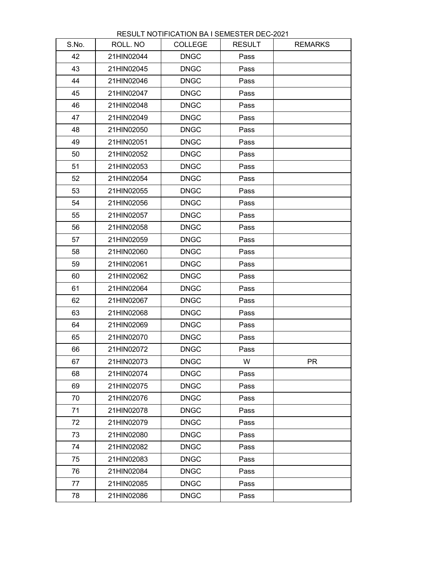| S.No. | ROLL. NO   | <b>COLLEGE</b> | <b>RESULT</b> | <b>REMARKS</b> |
|-------|------------|----------------|---------------|----------------|
| 42    | 21HIN02044 | <b>DNGC</b>    | Pass          |                |
| 43    | 21HIN02045 | <b>DNGC</b>    | Pass          |                |
| 44    | 21HIN02046 | <b>DNGC</b>    | Pass          |                |
| 45    | 21HIN02047 | <b>DNGC</b>    | Pass          |                |
| 46    | 21HIN02048 | <b>DNGC</b>    | Pass          |                |
| 47    | 21HIN02049 | <b>DNGC</b>    | Pass          |                |
| 48    | 21HIN02050 | <b>DNGC</b>    | Pass          |                |
| 49    | 21HIN02051 | <b>DNGC</b>    | Pass          |                |
| 50    | 21HIN02052 | <b>DNGC</b>    | Pass          |                |
| 51    | 21HIN02053 | <b>DNGC</b>    | Pass          |                |
| 52    | 21HIN02054 | <b>DNGC</b>    | Pass          |                |
| 53    | 21HIN02055 | <b>DNGC</b>    | Pass          |                |
| 54    | 21HIN02056 | <b>DNGC</b>    | Pass          |                |
| 55    | 21HIN02057 | <b>DNGC</b>    | Pass          |                |
| 56    | 21HIN02058 | <b>DNGC</b>    | Pass          |                |
| 57    | 21HIN02059 | <b>DNGC</b>    | Pass          |                |
| 58    | 21HIN02060 | <b>DNGC</b>    | Pass          |                |
| 59    | 21HIN02061 | <b>DNGC</b>    | Pass          |                |
| 60    | 21HIN02062 | <b>DNGC</b>    | Pass          |                |
| 61    | 21HIN02064 | <b>DNGC</b>    | Pass          |                |
| 62    | 21HIN02067 | <b>DNGC</b>    | Pass          |                |
| 63    | 21HIN02068 | <b>DNGC</b>    | Pass          |                |
| 64    | 21HIN02069 | <b>DNGC</b>    | Pass          |                |
| 65    | 21HIN02070 | <b>DNGC</b>    | Pass          |                |
| 66    | 21HIN02072 | <b>DNGC</b>    | Pass          |                |
| 67    | 21HIN02073 | <b>DNGC</b>    | W             | <b>PR</b>      |
| 68    | 21HIN02074 | <b>DNGC</b>    | Pass          |                |
| 69    | 21HIN02075 | <b>DNGC</b>    | Pass          |                |
| 70    | 21HIN02076 | <b>DNGC</b>    | Pass          |                |
| 71    | 21HIN02078 | <b>DNGC</b>    | Pass          |                |
| 72    | 21HIN02079 | <b>DNGC</b>    | Pass          |                |
| 73    | 21HIN02080 | <b>DNGC</b>    | Pass          |                |
| 74    | 21HIN02082 | <b>DNGC</b>    | Pass          |                |
| 75    | 21HIN02083 | <b>DNGC</b>    | Pass          |                |
| 76    | 21HIN02084 | <b>DNGC</b>    | Pass          |                |
| 77    | 21HIN02085 | <b>DNGC</b>    | Pass          |                |
| 78    | 21HIN02086 | <b>DNGC</b>    | Pass          |                |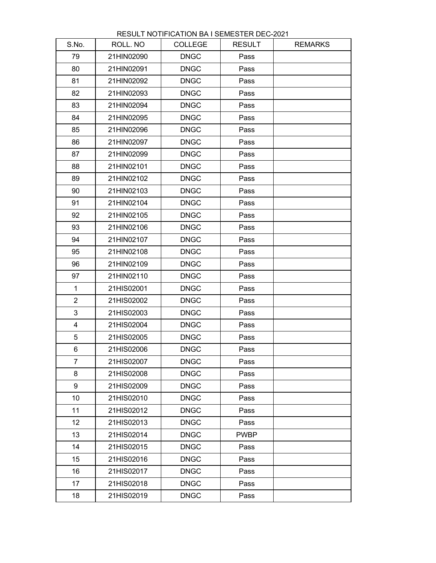| S.No.           | ROLL. NO   | <b>COLLEGE</b> | <b>RESULT</b> | <b>REMARKS</b> |
|-----------------|------------|----------------|---------------|----------------|
| 79              | 21HIN02090 | <b>DNGC</b>    | Pass          |                |
| 80              | 21HIN02091 | <b>DNGC</b>    | Pass          |                |
| 81              | 21HIN02092 | <b>DNGC</b>    | Pass          |                |
| 82              | 21HIN02093 | <b>DNGC</b>    | Pass          |                |
| 83              | 21HIN02094 | <b>DNGC</b>    | Pass          |                |
| 84              | 21HIN02095 | <b>DNGC</b>    | Pass          |                |
| 85              | 21HIN02096 | <b>DNGC</b>    | Pass          |                |
| 86              | 21HIN02097 | <b>DNGC</b>    | Pass          |                |
| 87              | 21HIN02099 | <b>DNGC</b>    | Pass          |                |
| 88              | 21HIN02101 | <b>DNGC</b>    | Pass          |                |
| 89              | 21HIN02102 | <b>DNGC</b>    | Pass          |                |
| 90              | 21HIN02103 | <b>DNGC</b>    | Pass          |                |
| 91              | 21HIN02104 | <b>DNGC</b>    | Pass          |                |
| 92              | 21HIN02105 | <b>DNGC</b>    | Pass          |                |
| 93              | 21HIN02106 | <b>DNGC</b>    | Pass          |                |
| 94              | 21HIN02107 | <b>DNGC</b>    | Pass          |                |
| 95              | 21HIN02108 | <b>DNGC</b>    | Pass          |                |
| 96              | 21HIN02109 | <b>DNGC</b>    | Pass          |                |
| 97              | 21HIN02110 | <b>DNGC</b>    | Pass          |                |
| $\mathbf{1}$    | 21HIS02001 | <b>DNGC</b>    | Pass          |                |
| $\overline{2}$  | 21HIS02002 | <b>DNGC</b>    | Pass          |                |
| 3               | 21HIS02003 | <b>DNGC</b>    | Pass          |                |
| 4               | 21HIS02004 | <b>DNGC</b>    | Pass          |                |
| 5               | 21HIS02005 | <b>DNGC</b>    | Pass          |                |
| 6               | 21HIS02006 | <b>DNGC</b>    | Pass          |                |
| $\overline{7}$  | 21HIS02007 | <b>DNGC</b>    | Pass          |                |
| 8               | 21HIS02008 | <b>DNGC</b>    | Pass          |                |
| 9               | 21HIS02009 | <b>DNGC</b>    | Pass          |                |
| 10              | 21HIS02010 | <b>DNGC</b>    | Pass          |                |
| 11              | 21HIS02012 | <b>DNGC</b>    | Pass          |                |
| 12 <sub>2</sub> | 21HIS02013 | <b>DNGC</b>    | Pass          |                |
| 13              | 21HIS02014 | <b>DNGC</b>    | <b>PWBP</b>   |                |
| 14              | 21HIS02015 | <b>DNGC</b>    | Pass          |                |
| 15              | 21HIS02016 | <b>DNGC</b>    | Pass          |                |
| 16              | 21HIS02017 | <b>DNGC</b>    | Pass          |                |
| 17              | 21HIS02018 | <b>DNGC</b>    | Pass          |                |
| 18              | 21HIS02019 | <b>DNGC</b>    | Pass          |                |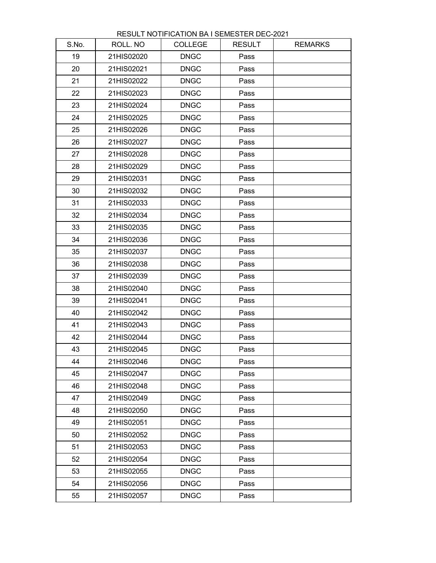| S.No. | ROLL. NO   | <b>COLLEGE</b> | <b>RESULT</b> | <b>REMARKS</b> |
|-------|------------|----------------|---------------|----------------|
| 19    | 21HIS02020 | <b>DNGC</b>    | Pass          |                |
| 20    | 21HIS02021 | <b>DNGC</b>    | Pass          |                |
| 21    | 21HIS02022 | <b>DNGC</b>    | Pass          |                |
| 22    | 21HIS02023 | <b>DNGC</b>    | Pass          |                |
| 23    | 21HIS02024 | <b>DNGC</b>    | Pass          |                |
| 24    | 21HIS02025 | <b>DNGC</b>    | Pass          |                |
| 25    | 21HIS02026 | <b>DNGC</b>    | Pass          |                |
| 26    | 21HIS02027 | <b>DNGC</b>    | Pass          |                |
| 27    | 21HIS02028 | <b>DNGC</b>    | Pass          |                |
| 28    | 21HIS02029 | <b>DNGC</b>    | Pass          |                |
| 29    | 21HIS02031 | <b>DNGC</b>    | Pass          |                |
| 30    | 21HIS02032 | <b>DNGC</b>    | Pass          |                |
| 31    | 21HIS02033 | <b>DNGC</b>    | Pass          |                |
| 32    | 21HIS02034 | <b>DNGC</b>    | Pass          |                |
| 33    | 21HIS02035 | <b>DNGC</b>    | Pass          |                |
| 34    | 21HIS02036 | <b>DNGC</b>    | Pass          |                |
| 35    | 21HIS02037 | <b>DNGC</b>    | Pass          |                |
| 36    | 21HIS02038 | <b>DNGC</b>    | Pass          |                |
| 37    | 21HIS02039 | <b>DNGC</b>    | Pass          |                |
| 38    | 21HIS02040 | <b>DNGC</b>    | Pass          |                |
| 39    | 21HIS02041 | <b>DNGC</b>    | Pass          |                |
| 40    | 21HIS02042 | <b>DNGC</b>    | Pass          |                |
| 41    | 21HIS02043 | <b>DNGC</b>    | Pass          |                |
| 42    | 21HIS02044 | <b>DNGC</b>    | Pass          |                |
| 43    | 21HIS02045 | <b>DNGC</b>    | Pass          |                |
| 44    | 21HIS02046 | <b>DNGC</b>    | Pass          |                |
| 45    | 21HIS02047 | <b>DNGC</b>    | Pass          |                |
| 46    | 21HIS02048 | <b>DNGC</b>    | Pass          |                |
| 47    | 21HIS02049 | <b>DNGC</b>    | Pass          |                |
| 48    | 21HIS02050 | <b>DNGC</b>    | Pass          |                |
| 49    | 21HIS02051 | <b>DNGC</b>    | Pass          |                |
| 50    | 21HIS02052 | <b>DNGC</b>    | Pass          |                |
| 51    | 21HIS02053 | <b>DNGC</b>    | Pass          |                |
| 52    | 21HIS02054 | <b>DNGC</b>    | Pass          |                |
| 53    | 21HIS02055 | <b>DNGC</b>    | Pass          |                |
| 54    | 21HIS02056 | <b>DNGC</b>    | Pass          |                |
| 55    | 21HIS02057 | <b>DNGC</b>    | Pass          |                |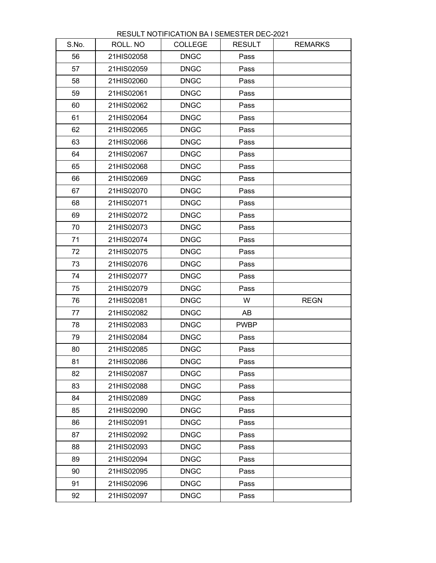| S.No. | ROLL. NO   | <b>COLLEGE</b> | <b>RESULT</b> | <b>REMARKS</b> |
|-------|------------|----------------|---------------|----------------|
| 56    | 21HIS02058 | <b>DNGC</b>    | Pass          |                |
| 57    | 21HIS02059 | <b>DNGC</b>    | Pass          |                |
| 58    | 21HIS02060 | <b>DNGC</b>    | Pass          |                |
| 59    | 21HIS02061 | <b>DNGC</b>    | Pass          |                |
| 60    | 21HIS02062 | <b>DNGC</b>    | Pass          |                |
| 61    | 21HIS02064 | <b>DNGC</b>    | Pass          |                |
| 62    | 21HIS02065 | <b>DNGC</b>    | Pass          |                |
| 63    | 21HIS02066 | <b>DNGC</b>    | Pass          |                |
| 64    | 21HIS02067 | <b>DNGC</b>    | Pass          |                |
| 65    | 21HIS02068 | <b>DNGC</b>    | Pass          |                |
| 66    | 21HIS02069 | <b>DNGC</b>    | Pass          |                |
| 67    | 21HIS02070 | <b>DNGC</b>    | Pass          |                |
| 68    | 21HIS02071 | <b>DNGC</b>    | Pass          |                |
| 69    | 21HIS02072 | <b>DNGC</b>    | Pass          |                |
| 70    | 21HIS02073 | <b>DNGC</b>    | Pass          |                |
| 71    | 21HIS02074 | <b>DNGC</b>    | Pass          |                |
| 72    | 21HIS02075 | <b>DNGC</b>    | Pass          |                |
| 73    | 21HIS02076 | <b>DNGC</b>    | Pass          |                |
| 74    | 21HIS02077 | <b>DNGC</b>    | Pass          |                |
| 75    | 21HIS02079 | <b>DNGC</b>    | Pass          |                |
| 76    | 21HIS02081 | <b>DNGC</b>    | W             | <b>REGN</b>    |
| 77    | 21HIS02082 | <b>DNGC</b>    | AB            |                |
| 78    | 21HIS02083 | <b>DNGC</b>    | <b>PWBP</b>   |                |
| 79    | 21HIS02084 | <b>DNGC</b>    | Pass          |                |
| 80    | 21HIS02085 | <b>DNGC</b>    | Pass          |                |
| 81    | 21HIS02086 | <b>DNGC</b>    | Pass          |                |
| 82    | 21HIS02087 | <b>DNGC</b>    | Pass          |                |
| 83    | 21HIS02088 | <b>DNGC</b>    | Pass          |                |
| 84    | 21HIS02089 | <b>DNGC</b>    | Pass          |                |
| 85    | 21HIS02090 | <b>DNGC</b>    | Pass          |                |
| 86    | 21HIS02091 | <b>DNGC</b>    | Pass          |                |
| 87    | 21HIS02092 | <b>DNGC</b>    | Pass          |                |
| 88    | 21HIS02093 | <b>DNGC</b>    | Pass          |                |
| 89    | 21HIS02094 | <b>DNGC</b>    | Pass          |                |
| 90    | 21HIS02095 | <b>DNGC</b>    | Pass          |                |
| 91    | 21HIS02096 | <b>DNGC</b>    | Pass          |                |
| 92    | 21HIS02097 | <b>DNGC</b>    | Pass          |                |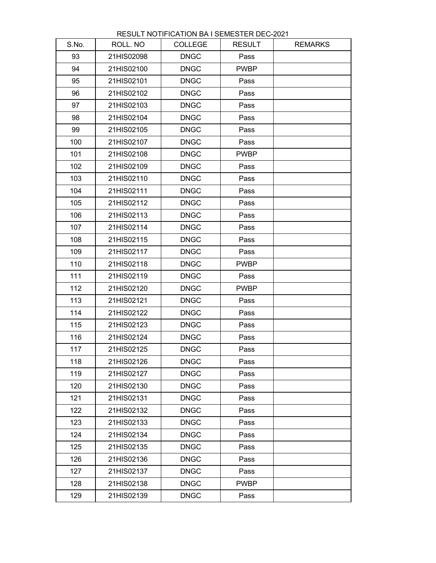| S.No. | ROLL. NO   | <b>COLLEGE</b> | <b>RESULT</b> | <b>REMARKS</b> |
|-------|------------|----------------|---------------|----------------|
| 93    | 21HIS02098 | <b>DNGC</b>    | Pass          |                |
| 94    | 21HIS02100 | <b>DNGC</b>    | <b>PWBP</b>   |                |
| 95    | 21HIS02101 | <b>DNGC</b>    | Pass          |                |
| 96    | 21HIS02102 | <b>DNGC</b>    | Pass          |                |
| 97    | 21HIS02103 | <b>DNGC</b>    | Pass          |                |
| 98    | 21HIS02104 | <b>DNGC</b>    | Pass          |                |
| 99    | 21HIS02105 | <b>DNGC</b>    | Pass          |                |
| 100   | 21HIS02107 | <b>DNGC</b>    | Pass          |                |
| 101   | 21HIS02108 | <b>DNGC</b>    | <b>PWBP</b>   |                |
| 102   | 21HIS02109 | <b>DNGC</b>    | Pass          |                |
| 103   | 21HIS02110 | <b>DNGC</b>    | Pass          |                |
| 104   | 21HIS02111 | <b>DNGC</b>    | Pass          |                |
| 105   | 21HIS02112 | <b>DNGC</b>    | Pass          |                |
| 106   | 21HIS02113 | <b>DNGC</b>    | Pass          |                |
| 107   | 21HIS02114 | <b>DNGC</b>    | Pass          |                |
| 108   | 21HIS02115 | <b>DNGC</b>    | Pass          |                |
| 109   | 21HIS02117 | <b>DNGC</b>    | Pass          |                |
| 110   | 21HIS02118 | <b>DNGC</b>    | <b>PWBP</b>   |                |
| 111   | 21HIS02119 | <b>DNGC</b>    | Pass          |                |
| 112   | 21HIS02120 | <b>DNGC</b>    | <b>PWBP</b>   |                |
| 113   | 21HIS02121 | <b>DNGC</b>    | Pass          |                |
| 114   | 21HIS02122 | <b>DNGC</b>    | Pass          |                |
| 115   | 21HIS02123 | <b>DNGC</b>    | Pass          |                |
| 116   | 21HIS02124 | <b>DNGC</b>    | Pass          |                |
| 117   | 21HIS02125 | <b>DNGC</b>    | Pass          |                |
| 118   | 21HIS02126 | <b>DNGC</b>    | Pass          |                |
| 119   | 21HIS02127 | <b>DNGC</b>    | Pass          |                |
| 120   | 21HIS02130 | <b>DNGC</b>    | Pass          |                |
| 121   | 21HIS02131 | <b>DNGC</b>    | Pass          |                |
| 122   | 21HIS02132 | <b>DNGC</b>    | Pass          |                |
| 123   | 21HIS02133 | <b>DNGC</b>    | Pass          |                |
| 124   | 21HIS02134 | <b>DNGC</b>    | Pass          |                |
| 125   | 21HIS02135 | <b>DNGC</b>    | Pass          |                |
| 126   | 21HIS02136 | <b>DNGC</b>    | Pass          |                |
| 127   | 21HIS02137 | <b>DNGC</b>    | Pass          |                |
| 128   | 21HIS02138 | <b>DNGC</b>    | <b>PWBP</b>   |                |
| 129   | 21HIS02139 | <b>DNGC</b>    | Pass          |                |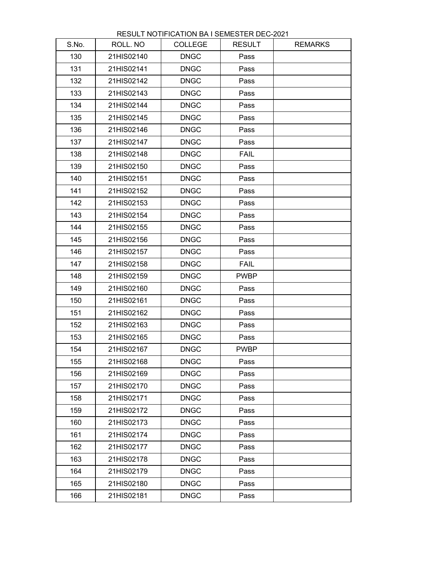| S.No. | ROLL. NO   | <b>COLLEGE</b> | <b>RESULT</b> | <b>REMARKS</b> |
|-------|------------|----------------|---------------|----------------|
| 130   | 21HIS02140 | <b>DNGC</b>    | Pass          |                |
| 131   | 21HIS02141 | <b>DNGC</b>    | Pass          |                |
| 132   | 21HIS02142 | <b>DNGC</b>    | Pass          |                |
| 133   | 21HIS02143 | <b>DNGC</b>    | Pass          |                |
| 134   | 21HIS02144 | <b>DNGC</b>    | Pass          |                |
| 135   | 21HIS02145 | <b>DNGC</b>    | Pass          |                |
| 136   | 21HIS02146 | <b>DNGC</b>    | Pass          |                |
| 137   | 21HIS02147 | <b>DNGC</b>    | Pass          |                |
| 138   | 21HIS02148 | <b>DNGC</b>    | <b>FAIL</b>   |                |
| 139   | 21HIS02150 | <b>DNGC</b>    | Pass          |                |
| 140   | 21HIS02151 | <b>DNGC</b>    | Pass          |                |
| 141   | 21HIS02152 | <b>DNGC</b>    | Pass          |                |
| 142   | 21HIS02153 | <b>DNGC</b>    | Pass          |                |
| 143   | 21HIS02154 | <b>DNGC</b>    | Pass          |                |
| 144   | 21HIS02155 | <b>DNGC</b>    | Pass          |                |
| 145   | 21HIS02156 | <b>DNGC</b>    | Pass          |                |
| 146   | 21HIS02157 | <b>DNGC</b>    | Pass          |                |
| 147   | 21HIS02158 | <b>DNGC</b>    | <b>FAIL</b>   |                |
| 148   | 21HIS02159 | <b>DNGC</b>    | <b>PWBP</b>   |                |
| 149   | 21HIS02160 | <b>DNGC</b>    | Pass          |                |
| 150   | 21HIS02161 | <b>DNGC</b>    | Pass          |                |
| 151   | 21HIS02162 | <b>DNGC</b>    | Pass          |                |
| 152   | 21HIS02163 | <b>DNGC</b>    | Pass          |                |
| 153   | 21HIS02165 | <b>DNGC</b>    | Pass          |                |
| 154   | 21HIS02167 | <b>DNGC</b>    | <b>PWBP</b>   |                |
| 155   | 21HIS02168 | <b>DNGC</b>    | Pass          |                |
| 156   | 21HIS02169 | <b>DNGC</b>    | Pass          |                |
| 157   | 21HIS02170 | <b>DNGC</b>    | Pass          |                |
| 158   | 21HIS02171 | <b>DNGC</b>    | Pass          |                |
| 159   | 21HIS02172 | <b>DNGC</b>    | Pass          |                |
| 160   | 21HIS02173 | <b>DNGC</b>    | Pass          |                |
| 161   | 21HIS02174 | <b>DNGC</b>    | Pass          |                |
| 162   | 21HIS02177 | <b>DNGC</b>    | Pass          |                |
| 163   | 21HIS02178 | <b>DNGC</b>    | Pass          |                |
| 164   | 21HIS02179 | <b>DNGC</b>    | Pass          |                |
| 165   | 21HIS02180 | <b>DNGC</b>    | Pass          |                |
| 166   | 21HIS02181 | <b>DNGC</b>    | Pass          |                |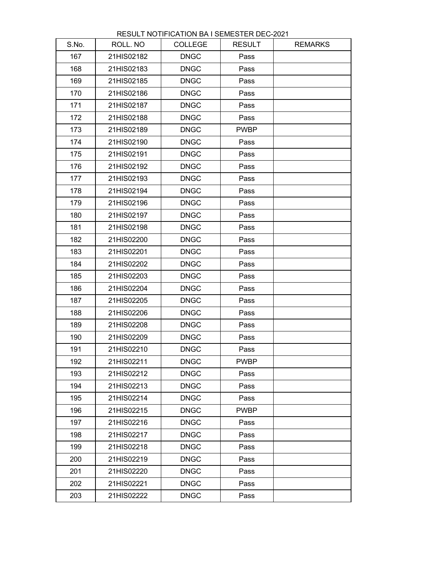| RESULT NOTIFICATION BA I SEMESTER DEC-2021 |  |
|--------------------------------------------|--|
|--------------------------------------------|--|

| S.No. | ROLL. NO   | <b>COLLEGE</b> | <b>RESULT</b> | <b>REMARKS</b> |
|-------|------------|----------------|---------------|----------------|
| 167   | 21HIS02182 | <b>DNGC</b>    | Pass          |                |
| 168   | 21HIS02183 | <b>DNGC</b>    | Pass          |                |
| 169   | 21HIS02185 | <b>DNGC</b>    | Pass          |                |
| 170   | 21HIS02186 | <b>DNGC</b>    | Pass          |                |
| 171   | 21HIS02187 | <b>DNGC</b>    | Pass          |                |
| 172   | 21HIS02188 | <b>DNGC</b>    | Pass          |                |
| 173   | 21HIS02189 | <b>DNGC</b>    | <b>PWBP</b>   |                |
| 174   | 21HIS02190 | <b>DNGC</b>    | Pass          |                |
| 175   | 21HIS02191 | <b>DNGC</b>    | Pass          |                |
| 176   | 21HIS02192 | <b>DNGC</b>    | Pass          |                |
| 177   | 21HIS02193 | <b>DNGC</b>    | Pass          |                |
| 178   | 21HIS02194 | <b>DNGC</b>    | Pass          |                |
| 179   | 21HIS02196 | <b>DNGC</b>    | Pass          |                |
| 180   | 21HIS02197 | <b>DNGC</b>    | Pass          |                |
| 181   | 21HIS02198 | <b>DNGC</b>    | Pass          |                |
| 182   | 21HIS02200 | <b>DNGC</b>    | Pass          |                |
| 183   | 21HIS02201 | <b>DNGC</b>    | Pass          |                |
| 184   | 21HIS02202 | <b>DNGC</b>    | Pass          |                |
| 185   | 21HIS02203 | <b>DNGC</b>    | Pass          |                |
| 186   | 21HIS02204 | <b>DNGC</b>    | Pass          |                |
| 187   | 21HIS02205 | <b>DNGC</b>    | Pass          |                |
| 188   | 21HIS02206 | <b>DNGC</b>    | Pass          |                |
| 189   | 21HIS02208 | <b>DNGC</b>    | Pass          |                |
| 190   | 21HIS02209 | <b>DNGC</b>    | Pass          |                |
| 191   | 21HIS02210 | <b>DNGC</b>    | Pass          |                |
| 192   | 21HIS02211 | <b>DNGC</b>    | <b>PWBP</b>   |                |
| 193   | 21HIS02212 | <b>DNGC</b>    | Pass          |                |
| 194   | 21HIS02213 | <b>DNGC</b>    | Pass          |                |
| 195   | 21HIS02214 | <b>DNGC</b>    | Pass          |                |
| 196   | 21HIS02215 | <b>DNGC</b>    | <b>PWBP</b>   |                |
| 197   | 21HIS02216 | <b>DNGC</b>    | Pass          |                |
| 198   | 21HIS02217 | <b>DNGC</b>    | Pass          |                |
| 199   | 21HIS02218 | <b>DNGC</b>    | Pass          |                |
| 200   | 21HIS02219 | <b>DNGC</b>    | Pass          |                |
| 201   | 21HIS02220 | <b>DNGC</b>    | Pass          |                |
| 202   | 21HIS02221 | <b>DNGC</b>    | Pass          |                |
| 203   | 21HIS02222 | <b>DNGC</b>    | Pass          |                |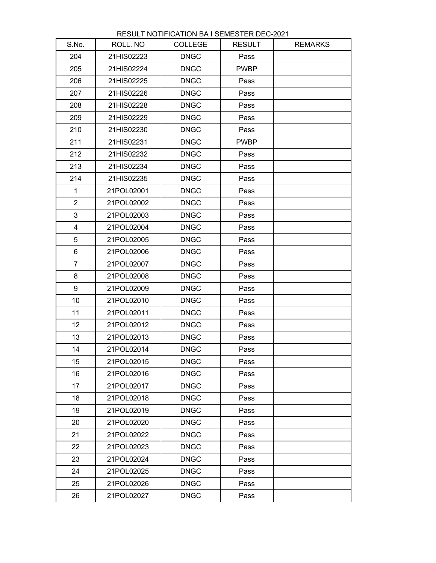| S.No.                   | ROLL. NO   | <b>COLLEGE</b> | <b>RESULT</b> | <b>REMARKS</b> |
|-------------------------|------------|----------------|---------------|----------------|
| 204                     | 21HIS02223 | <b>DNGC</b>    | Pass          |                |
| 205                     | 21HIS02224 | <b>DNGC</b>    | <b>PWBP</b>   |                |
| 206                     | 21HIS02225 | <b>DNGC</b>    | Pass          |                |
| 207                     | 21HIS02226 | <b>DNGC</b>    | Pass          |                |
| 208                     | 21HIS02228 | <b>DNGC</b>    | Pass          |                |
| 209                     | 21HIS02229 | <b>DNGC</b>    | Pass          |                |
| 210                     | 21HIS02230 | <b>DNGC</b>    | Pass          |                |
| 211                     | 21HIS02231 | <b>DNGC</b>    | <b>PWBP</b>   |                |
| 212                     | 21HIS02232 | <b>DNGC</b>    | Pass          |                |
| 213                     | 21HIS02234 | <b>DNGC</b>    | Pass          |                |
| 214                     | 21HIS02235 | <b>DNGC</b>    | Pass          |                |
| $\mathbf{1}$            | 21POL02001 | <b>DNGC</b>    | Pass          |                |
| $\overline{2}$          | 21POL02002 | <b>DNGC</b>    | Pass          |                |
| 3                       | 21POL02003 | <b>DNGC</b>    | Pass          |                |
| $\overline{\mathbf{4}}$ | 21POL02004 | <b>DNGC</b>    | Pass          |                |
| 5                       | 21POL02005 | <b>DNGC</b>    | Pass          |                |
| 6                       | 21POL02006 | <b>DNGC</b>    | Pass          |                |
| $\overline{7}$          | 21POL02007 | <b>DNGC</b>    | Pass          |                |
| 8                       | 21POL02008 | <b>DNGC</b>    | Pass          |                |
| 9                       | 21POL02009 | <b>DNGC</b>    | Pass          |                |
| 10                      | 21POL02010 | <b>DNGC</b>    | Pass          |                |
| 11                      | 21POL02011 | <b>DNGC</b>    | Pass          |                |
| 12 <sup>°</sup>         | 21POL02012 | <b>DNGC</b>    | Pass          |                |
| 13                      | 21POL02013 | <b>DNGC</b>    | Pass          |                |
| 14                      | 21POL02014 | <b>DNGC</b>    | Pass          |                |
| 15                      | 21POL02015 | <b>DNGC</b>    | Pass          |                |
| 16                      | 21POL02016 | <b>DNGC</b>    | Pass          |                |
| 17                      | 21POL02017 | <b>DNGC</b>    | Pass          |                |
| 18                      | 21POL02018 | <b>DNGC</b>    | Pass          |                |
| 19                      | 21POL02019 | <b>DNGC</b>    | Pass          |                |
| 20                      | 21POL02020 | <b>DNGC</b>    | Pass          |                |
| 21                      | 21POL02022 | <b>DNGC</b>    | Pass          |                |
| 22                      | 21POL02023 | <b>DNGC</b>    | Pass          |                |
| 23                      | 21POL02024 | <b>DNGC</b>    | Pass          |                |
| 24                      | 21POL02025 | <b>DNGC</b>    | Pass          |                |
| 25                      | 21POL02026 | <b>DNGC</b>    | Pass          |                |
| 26                      | 21POL02027 | <b>DNGC</b>    | Pass          |                |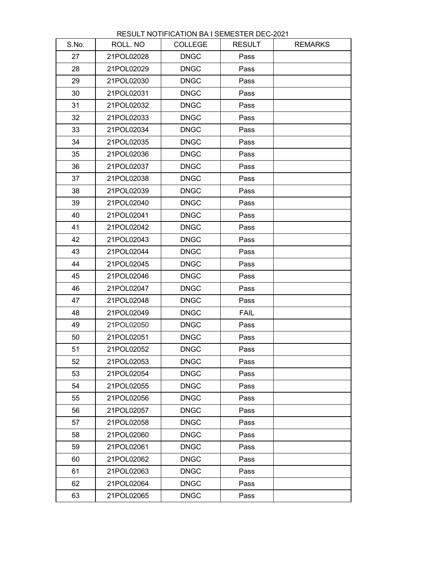| S.No. | ROLL. NO   | <b>COLLEGE</b> | <b>RESULT</b> | <b>REMARKS</b> |
|-------|------------|----------------|---------------|----------------|
| 27    | 21POL02028 | <b>DNGC</b>    | Pass          |                |
| 28    | 21POL02029 | <b>DNGC</b>    | Pass          |                |
| 29    | 21POL02030 | <b>DNGC</b>    | Pass          |                |
| 30    | 21POL02031 | <b>DNGC</b>    | Pass          |                |
| 31    | 21POL02032 | <b>DNGC</b>    | Pass          |                |
| 32    | 21POL02033 | <b>DNGC</b>    | Pass          |                |
| 33    | 21POL02034 | <b>DNGC</b>    | Pass          |                |
| 34    | 21POL02035 | <b>DNGC</b>    | Pass          |                |
| 35    | 21POL02036 | <b>DNGC</b>    | Pass          |                |
| 36    | 21POL02037 | <b>DNGC</b>    | Pass          |                |
| 37    | 21POL02038 | <b>DNGC</b>    | Pass          |                |
| 38    | 21POL02039 | <b>DNGC</b>    | Pass          |                |
| 39    | 21POL02040 | <b>DNGC</b>    | Pass          |                |
| 40    | 21POL02041 | <b>DNGC</b>    | Pass          |                |
| 41    | 21POL02042 | <b>DNGC</b>    | Pass          |                |
| 42    | 21POL02043 | <b>DNGC</b>    | Pass          |                |
| 43    | 21POL02044 | <b>DNGC</b>    | Pass          |                |
| 44    | 21POL02045 | <b>DNGC</b>    | Pass          |                |
| 45    | 21POL02046 | <b>DNGC</b>    | Pass          |                |
| 46    | 21POL02047 | <b>DNGC</b>    | Pass          |                |
| 47    | 21POL02048 | <b>DNGC</b>    | Pass          |                |
| 48    | 21POL02049 | <b>DNGC</b>    | <b>FAIL</b>   |                |
| 49    | 21POL02050 | <b>DNGC</b>    | Pass          |                |
| 50    | 21POL02051 | <b>DNGC</b>    | Pass          |                |
| 51    | 21POL02052 | <b>DNGC</b>    | Pass          |                |
| 52    | 21POL02053 | <b>DNGC</b>    | Pass          |                |
| 53    | 21POL02054 | <b>DNGC</b>    | Pass          |                |
| 54    | 21POL02055 | <b>DNGC</b>    | Pass          |                |
| 55    | 21POL02056 | <b>DNGC</b>    | Pass          |                |
| 56    | 21POL02057 | <b>DNGC</b>    | Pass          |                |
| 57    | 21POL02058 | <b>DNGC</b>    | Pass          |                |
| 58    | 21POL02060 | <b>DNGC</b>    | Pass          |                |
| 59    | 21POL02061 | <b>DNGC</b>    | Pass          |                |
| 60    | 21POL02062 | <b>DNGC</b>    | Pass          |                |
| 61    | 21POL02063 | <b>DNGC</b>    | Pass          |                |
| 62    | 21POL02064 | <b>DNGC</b>    | Pass          |                |
| 63    | 21POL02065 | <b>DNGC</b>    | Pass          |                |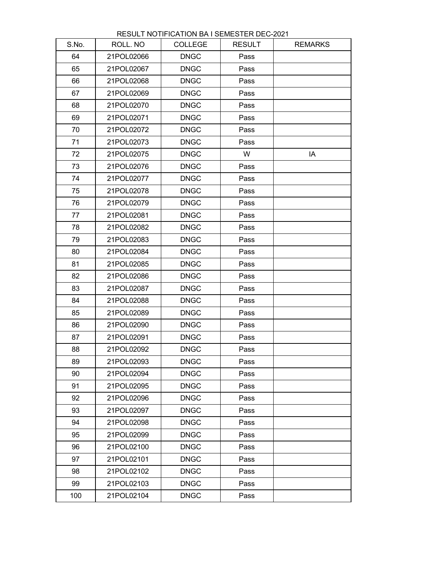| S.No. | ROLL. NO   | <b>COLLEGE</b> | <b>RESULT</b> | <b>REMARKS</b> |
|-------|------------|----------------|---------------|----------------|
| 64    | 21POL02066 | <b>DNGC</b>    | Pass          |                |
| 65    | 21POL02067 | <b>DNGC</b>    | Pass          |                |
| 66    | 21POL02068 | <b>DNGC</b>    | Pass          |                |
| 67    | 21POL02069 | <b>DNGC</b>    | Pass          |                |
| 68    | 21POL02070 | <b>DNGC</b>    | Pass          |                |
| 69    | 21POL02071 | <b>DNGC</b>    | Pass          |                |
| 70    | 21POL02072 | <b>DNGC</b>    | Pass          |                |
| 71    | 21POL02073 | <b>DNGC</b>    | Pass          |                |
| 72    | 21POL02075 | <b>DNGC</b>    | W             | IA             |
| 73    | 21POL02076 | <b>DNGC</b>    | Pass          |                |
| 74    | 21POL02077 | <b>DNGC</b>    | Pass          |                |
| 75    | 21POL02078 | <b>DNGC</b>    | Pass          |                |
| 76    | 21POL02079 | <b>DNGC</b>    | Pass          |                |
| 77    | 21POL02081 | <b>DNGC</b>    | Pass          |                |
| 78    | 21POL02082 | <b>DNGC</b>    | Pass          |                |
| 79    | 21POL02083 | <b>DNGC</b>    | Pass          |                |
| 80    | 21POL02084 | <b>DNGC</b>    | Pass          |                |
| 81    | 21POL02085 | <b>DNGC</b>    | Pass          |                |
| 82    | 21POL02086 | <b>DNGC</b>    | Pass          |                |
| 83    | 21POL02087 | <b>DNGC</b>    | Pass          |                |
| 84    | 21POL02088 | <b>DNGC</b>    | Pass          |                |
| 85    | 21POL02089 | <b>DNGC</b>    | Pass          |                |
| 86    | 21POL02090 | <b>DNGC</b>    | Pass          |                |
| 87    | 21POL02091 | <b>DNGC</b>    | Pass          |                |
| 88    | 21POL02092 | <b>DNGC</b>    | Pass          |                |
| 89    | 21POL02093 | <b>DNGC</b>    | Pass          |                |
| 90    | 21POL02094 | <b>DNGC</b>    | Pass          |                |
| 91    | 21POL02095 | <b>DNGC</b>    | Pass          |                |
| 92    | 21POL02096 | <b>DNGC</b>    | Pass          |                |
| 93    | 21POL02097 | <b>DNGC</b>    | Pass          |                |
| 94    | 21POL02098 | <b>DNGC</b>    | Pass          |                |
| 95    | 21POL02099 | <b>DNGC</b>    | Pass          |                |
| 96    | 21POL02100 | <b>DNGC</b>    | Pass          |                |
| 97    | 21POL02101 | <b>DNGC</b>    | Pass          |                |
| 98    | 21POL02102 | <b>DNGC</b>    | Pass          |                |
| 99    | 21POL02103 | <b>DNGC</b>    | Pass          |                |
| 100   | 21POL02104 | <b>DNGC</b>    | Pass          |                |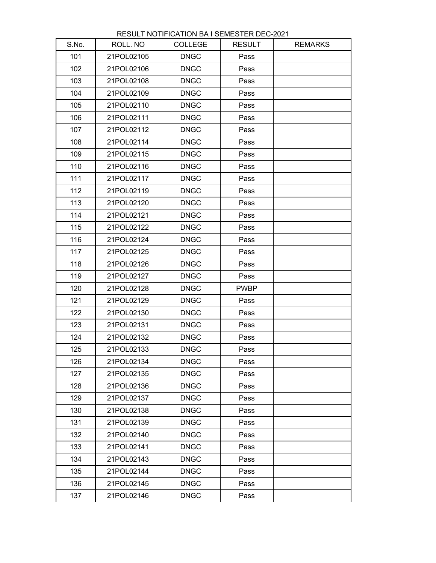| S.No. | ROLL. NO   | <b>COLLEGE</b> | <b>RESULT</b> | <b>REMARKS</b> |
|-------|------------|----------------|---------------|----------------|
| 101   | 21POL02105 | <b>DNGC</b>    | Pass          |                |
| 102   | 21POL02106 | <b>DNGC</b>    | Pass          |                |
| 103   | 21POL02108 | <b>DNGC</b>    | Pass          |                |
| 104   | 21POL02109 | <b>DNGC</b>    | Pass          |                |
| 105   | 21POL02110 | <b>DNGC</b>    | Pass          |                |
| 106   | 21POL02111 | <b>DNGC</b>    | Pass          |                |
| 107   | 21POL02112 | <b>DNGC</b>    | Pass          |                |
| 108   | 21POL02114 | <b>DNGC</b>    | Pass          |                |
| 109   | 21POL02115 | <b>DNGC</b>    | Pass          |                |
| 110   | 21POL02116 | <b>DNGC</b>    | Pass          |                |
| 111   | 21POL02117 | <b>DNGC</b>    | Pass          |                |
| 112   | 21POL02119 | <b>DNGC</b>    | Pass          |                |
| 113   | 21POL02120 | <b>DNGC</b>    | Pass          |                |
| 114   | 21POL02121 | <b>DNGC</b>    | Pass          |                |
| 115   | 21POL02122 | <b>DNGC</b>    | Pass          |                |
| 116   | 21POL02124 | <b>DNGC</b>    | Pass          |                |
| 117   | 21POL02125 | <b>DNGC</b>    | Pass          |                |
| 118   | 21POL02126 | <b>DNGC</b>    | Pass          |                |
| 119   | 21POL02127 | <b>DNGC</b>    | Pass          |                |
| 120   | 21POL02128 | <b>DNGC</b>    | <b>PWBP</b>   |                |
| 121   | 21POL02129 | <b>DNGC</b>    | Pass          |                |
| 122   | 21POL02130 | <b>DNGC</b>    | Pass          |                |
| 123   | 21POL02131 | <b>DNGC</b>    | Pass          |                |
| 124   | 21POL02132 | <b>DNGC</b>    | Pass          |                |
| 125   | 21POL02133 | <b>DNGC</b>    | Pass          |                |
| 126   | 21POL02134 | <b>DNGC</b>    | Pass          |                |
| 127   | 21POL02135 | <b>DNGC</b>    | Pass          |                |
| 128   | 21POL02136 | <b>DNGC</b>    | Pass          |                |
| 129   | 21POL02137 | <b>DNGC</b>    | Pass          |                |
| 130   | 21POL02138 | <b>DNGC</b>    | Pass          |                |
| 131   | 21POL02139 | <b>DNGC</b>    | Pass          |                |
| 132   | 21POL02140 | <b>DNGC</b>    | Pass          |                |
| 133   | 21POL02141 | <b>DNGC</b>    | Pass          |                |
| 134   | 21POL02143 | <b>DNGC</b>    | Pass          |                |
| 135   | 21POL02144 | <b>DNGC</b>    | Pass          |                |
| 136   | 21POL02145 | <b>DNGC</b>    | Pass          |                |
| 137   | 21POL02146 | <b>DNGC</b>    | Pass          |                |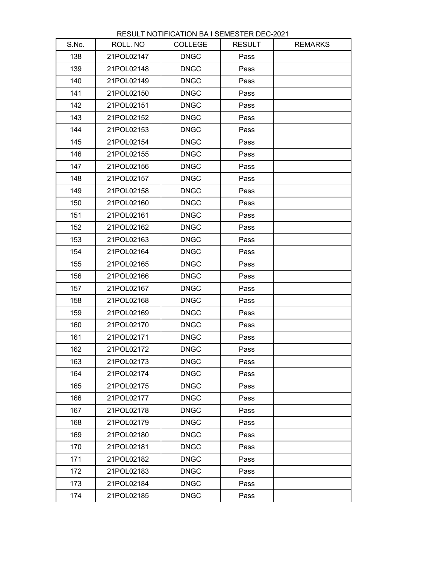| S.No. | ROLL. NO   | <b>COLLEGE</b> | <b>RESULT</b> | <b>REMARKS</b> |
|-------|------------|----------------|---------------|----------------|
| 138   | 21POL02147 | <b>DNGC</b>    | Pass          |                |
| 139   | 21POL02148 | <b>DNGC</b>    | Pass          |                |
| 140   | 21POL02149 | <b>DNGC</b>    | Pass          |                |
| 141   | 21POL02150 | <b>DNGC</b>    | Pass          |                |
| 142   | 21POL02151 | <b>DNGC</b>    | Pass          |                |
| 143   | 21POL02152 | <b>DNGC</b>    | Pass          |                |
| 144   | 21POL02153 | <b>DNGC</b>    | Pass          |                |
| 145   | 21POL02154 | <b>DNGC</b>    | Pass          |                |
| 146   | 21POL02155 | <b>DNGC</b>    | Pass          |                |
| 147   | 21POL02156 | <b>DNGC</b>    | Pass          |                |
| 148   | 21POL02157 | <b>DNGC</b>    | Pass          |                |
| 149   | 21POL02158 | <b>DNGC</b>    | Pass          |                |
| 150   | 21POL02160 | <b>DNGC</b>    | Pass          |                |
| 151   | 21POL02161 | <b>DNGC</b>    | Pass          |                |
| 152   | 21POL02162 | <b>DNGC</b>    | Pass          |                |
| 153   | 21POL02163 | <b>DNGC</b>    | Pass          |                |
| 154   | 21POL02164 | <b>DNGC</b>    | Pass          |                |
| 155   | 21POL02165 | <b>DNGC</b>    | Pass          |                |
| 156   | 21POL02166 | <b>DNGC</b>    | Pass          |                |
| 157   | 21POL02167 | <b>DNGC</b>    | Pass          |                |
| 158   | 21POL02168 | <b>DNGC</b>    | Pass          |                |
| 159   | 21POL02169 | <b>DNGC</b>    | Pass          |                |
| 160   | 21POL02170 | <b>DNGC</b>    | Pass          |                |
| 161   | 21POL02171 | <b>DNGC</b>    | Pass          |                |
| 162   | 21POL02172 | <b>DNGC</b>    | Pass          |                |
| 163   | 21POL02173 | <b>DNGC</b>    | Pass          |                |
| 164   | 21POL02174 | <b>DNGC</b>    | Pass          |                |
| 165   | 21POL02175 | <b>DNGC</b>    | Pass          |                |
| 166   | 21POL02177 | <b>DNGC</b>    | Pass          |                |
| 167   | 21POL02178 | <b>DNGC</b>    | Pass          |                |
| 168   | 21POL02179 | <b>DNGC</b>    | Pass          |                |
| 169   | 21POL02180 | <b>DNGC</b>    | Pass          |                |
| 170   | 21POL02181 | <b>DNGC</b>    | Pass          |                |
| 171   | 21POL02182 | <b>DNGC</b>    | Pass          |                |
| 172   | 21POL02183 | <b>DNGC</b>    | Pass          |                |
| 173   | 21POL02184 | <b>DNGC</b>    | Pass          |                |
| 174   | 21POL02185 | <b>DNGC</b>    | Pass          |                |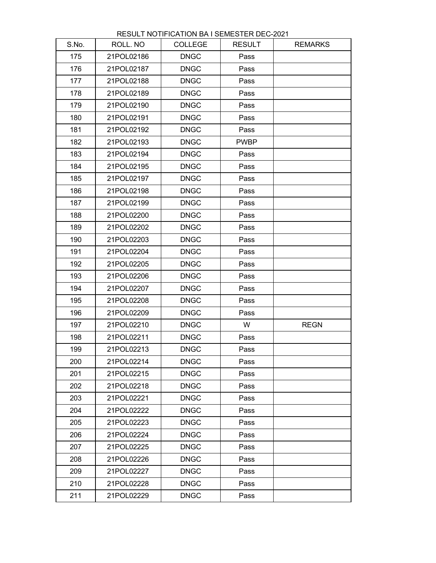| S.No. | ROLL. NO   | <b>COLLEGE</b> | <b>RESULT</b> | <b>REMARKS</b> |
|-------|------------|----------------|---------------|----------------|
| 175   | 21POL02186 | <b>DNGC</b>    | Pass          |                |
| 176   | 21POL02187 | <b>DNGC</b>    | Pass          |                |
| 177   | 21POL02188 | <b>DNGC</b>    | Pass          |                |
| 178   | 21POL02189 | <b>DNGC</b>    | Pass          |                |
| 179   | 21POL02190 | <b>DNGC</b>    | Pass          |                |
| 180   | 21POL02191 | <b>DNGC</b>    | Pass          |                |
| 181   | 21POL02192 | <b>DNGC</b>    | Pass          |                |
| 182   | 21POL02193 | <b>DNGC</b>    | <b>PWBP</b>   |                |
| 183   | 21POL02194 | <b>DNGC</b>    | Pass          |                |
| 184   | 21POL02195 | <b>DNGC</b>    | Pass          |                |
| 185   | 21POL02197 | <b>DNGC</b>    | Pass          |                |
| 186   | 21POL02198 | <b>DNGC</b>    | Pass          |                |
| 187   | 21POL02199 | <b>DNGC</b>    | Pass          |                |
| 188   | 21POL02200 | <b>DNGC</b>    | Pass          |                |
| 189   | 21POL02202 | <b>DNGC</b>    | Pass          |                |
| 190   | 21POL02203 | <b>DNGC</b>    | Pass          |                |
| 191   | 21POL02204 | <b>DNGC</b>    | Pass          |                |
| 192   | 21POL02205 | <b>DNGC</b>    | Pass          |                |
| 193   | 21POL02206 | <b>DNGC</b>    | Pass          |                |
| 194   | 21POL02207 | <b>DNGC</b>    | Pass          |                |
| 195   | 21POL02208 | <b>DNGC</b>    | Pass          |                |
| 196   | 21POL02209 | <b>DNGC</b>    | Pass          |                |
| 197   | 21POL02210 | <b>DNGC</b>    | W             | <b>REGN</b>    |
| 198   | 21POL02211 | <b>DNGC</b>    | Pass          |                |
| 199   | 21POL02213 | <b>DNGC</b>    | Pass          |                |
| 200   | 21POL02214 | <b>DNGC</b>    | Pass          |                |
| 201   | 21POL02215 | <b>DNGC</b>    | Pass          |                |
| 202   | 21POL02218 | <b>DNGC</b>    | Pass          |                |
| 203   | 21POL02221 | <b>DNGC</b>    | Pass          |                |
| 204   | 21POL02222 | <b>DNGC</b>    | Pass          |                |
| 205   | 21POL02223 | <b>DNGC</b>    | Pass          |                |
| 206   | 21POL02224 | <b>DNGC</b>    | Pass          |                |
| 207   | 21POL02225 | <b>DNGC</b>    | Pass          |                |
| 208   | 21POL02226 | <b>DNGC</b>    | Pass          |                |
| 209   | 21POL02227 | <b>DNGC</b>    | Pass          |                |
| 210   | 21POL02228 | <b>DNGC</b>    | Pass          |                |
| 211   | 21POL02229 | <b>DNGC</b>    | Pass          |                |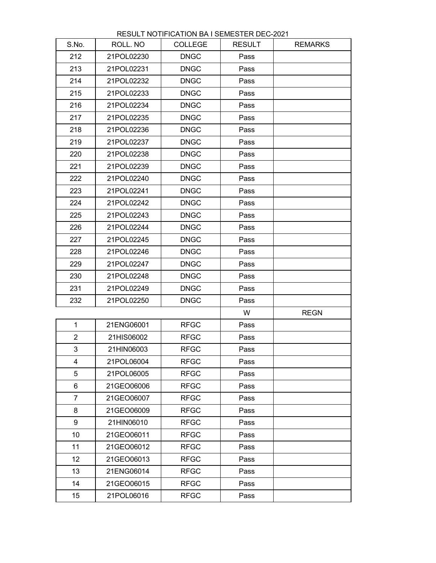| S.No.            | ROLL. NO   | <b>COLLEGE</b> | <b>RESULT</b> | <b>REMARKS</b> |
|------------------|------------|----------------|---------------|----------------|
| 212              | 21POL02230 | <b>DNGC</b>    | Pass          |                |
| 213              | 21POL02231 | <b>DNGC</b>    | Pass          |                |
| 214              | 21POL02232 | <b>DNGC</b>    | Pass          |                |
| 215              | 21POL02233 | <b>DNGC</b>    | Pass          |                |
| 216              | 21POL02234 | <b>DNGC</b>    | Pass          |                |
| 217              | 21POL02235 | <b>DNGC</b>    | Pass          |                |
| 218              | 21POL02236 | <b>DNGC</b>    | Pass          |                |
| 219              | 21POL02237 | <b>DNGC</b>    | Pass          |                |
| 220              | 21POL02238 | <b>DNGC</b>    | Pass          |                |
| 221              | 21POL02239 | <b>DNGC</b>    | Pass          |                |
| 222              | 21POL02240 | <b>DNGC</b>    | Pass          |                |
| 223              | 21POL02241 | <b>DNGC</b>    | Pass          |                |
| 224              | 21POL02242 | <b>DNGC</b>    | Pass          |                |
| 225              | 21POL02243 | <b>DNGC</b>    | Pass          |                |
| 226              | 21POL02244 | <b>DNGC</b>    | Pass          |                |
| 227              | 21POL02245 | <b>DNGC</b>    | Pass          |                |
| 228              | 21POL02246 | <b>DNGC</b>    | Pass          |                |
| 229              | 21POL02247 | <b>DNGC</b>    | Pass          |                |
| 230              | 21POL02248 | <b>DNGC</b>    | Pass          |                |
| 231              | 21POL02249 | <b>DNGC</b>    | Pass          |                |
| 232              | 21POL02250 | <b>DNGC</b>    | Pass          |                |
|                  |            |                | W             | <b>REGN</b>    |
| $\mathbf{1}$     | 21ENG06001 | <b>RFGC</b>    | Pass          |                |
| $\overline{2}$   | 21HIS06002 | <b>RFGC</b>    | Pass          |                |
| 3                | 21HIN06003 | <b>RFGC</b>    | Pass          |                |
| 4                | 21POL06004 | <b>RFGC</b>    | Pass          |                |
| 5                | 21POL06005 | <b>RFGC</b>    | Pass          |                |
| 6                | 21GEO06006 | <b>RFGC</b>    | Pass          |                |
| $\overline{7}$   | 21GEO06007 | <b>RFGC</b>    | Pass          |                |
| 8                | 21GEO06009 | <b>RFGC</b>    | Pass          |                |
| 9                | 21HIN06010 | <b>RFGC</b>    | Pass          |                |
| 10               | 21GEO06011 | <b>RFGC</b>    | Pass          |                |
| 11               | 21GEO06012 | <b>RFGC</b>    | Pass          |                |
| 12 <sub>2</sub>  | 21GEO06013 | <b>RFGC</b>    | Pass          |                |
| 13               | 21ENG06014 | <b>RFGC</b>    | Pass          |                |
| 14               | 21GEO06015 | <b>RFGC</b>    | Pass          |                |
| 15 <sub>15</sub> | 21POL06016 | <b>RFGC</b>    | Pass          |                |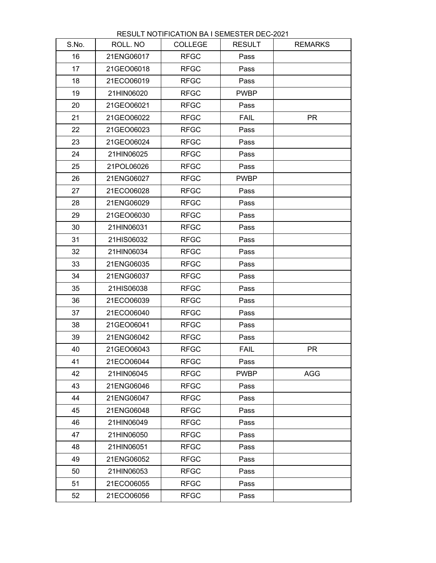| S.No. | ROLL. NO   | <b>COLLEGE</b> | <b>RESULT</b> | <b>REMARKS</b> |
|-------|------------|----------------|---------------|----------------|
| 16    | 21ENG06017 | <b>RFGC</b>    | Pass          |                |
| 17    | 21GEO06018 | <b>RFGC</b>    | Pass          |                |
| 18    | 21ECO06019 | <b>RFGC</b>    | Pass          |                |
| 19    | 21HIN06020 | <b>RFGC</b>    | <b>PWBP</b>   |                |
| 20    | 21GEO06021 | <b>RFGC</b>    | Pass          |                |
| 21    | 21GEO06022 | <b>RFGC</b>    | <b>FAIL</b>   | <b>PR</b>      |
| 22    | 21GEO06023 | <b>RFGC</b>    | Pass          |                |
| 23    | 21GEO06024 | <b>RFGC</b>    | Pass          |                |
| 24    | 21HIN06025 | <b>RFGC</b>    | Pass          |                |
| 25    | 21POL06026 | <b>RFGC</b>    | Pass          |                |
| 26    | 21ENG06027 | <b>RFGC</b>    | <b>PWBP</b>   |                |
| 27    | 21ECO06028 | <b>RFGC</b>    | Pass          |                |
| 28    | 21ENG06029 | <b>RFGC</b>    | Pass          |                |
| 29    | 21GEO06030 | <b>RFGC</b>    | Pass          |                |
| 30    | 21HIN06031 | <b>RFGC</b>    | Pass          |                |
| 31    | 21HIS06032 | <b>RFGC</b>    | Pass          |                |
| 32    | 21HIN06034 | <b>RFGC</b>    | Pass          |                |
| 33    | 21ENG06035 | <b>RFGC</b>    | Pass          |                |
| 34    | 21ENG06037 | <b>RFGC</b>    | Pass          |                |
| 35    | 21HIS06038 | <b>RFGC</b>    | Pass          |                |
| 36    | 21ECO06039 | <b>RFGC</b>    | Pass          |                |
| 37    | 21ECO06040 | <b>RFGC</b>    | Pass          |                |
| 38    | 21GEO06041 | <b>RFGC</b>    | Pass          |                |
| 39    | 21ENG06042 | <b>RFGC</b>    | Pass          |                |
| 40    | 21GEO06043 | <b>RFGC</b>    | <b>FAIL</b>   | <b>PR</b>      |
| 41    | 21ECO06044 | <b>RFGC</b>    | Pass          |                |
| 42    | 21HIN06045 | <b>RFGC</b>    | <b>PWBP</b>   | <b>AGG</b>     |
| 43    | 21ENG06046 | <b>RFGC</b>    | Pass          |                |
| 44    | 21ENG06047 | <b>RFGC</b>    | Pass          |                |
| 45    | 21ENG06048 | <b>RFGC</b>    | Pass          |                |
| 46    | 21HIN06049 | <b>RFGC</b>    | Pass          |                |
| 47    | 21HIN06050 | <b>RFGC</b>    | Pass          |                |
| 48    | 21HIN06051 | <b>RFGC</b>    | Pass          |                |
| 49    | 21ENG06052 | <b>RFGC</b>    | Pass          |                |
| 50    | 21HIN06053 | <b>RFGC</b>    | Pass          |                |
| 51    | 21ECO06055 | <b>RFGC</b>    | Pass          |                |
| 52    | 21ECO06056 | <b>RFGC</b>    | Pass          |                |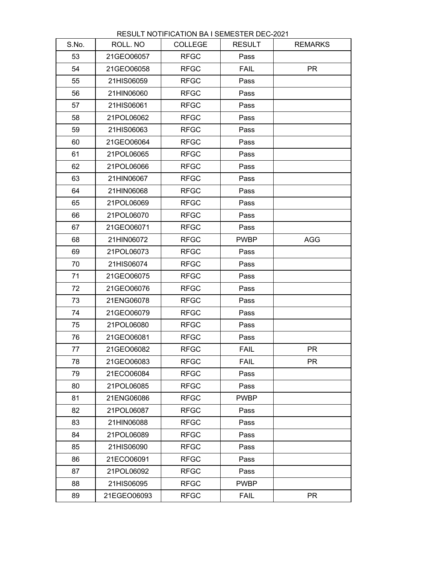| S.No. | ROLL. NO    | <b>COLLEGE</b> | <b>RESULT</b> | <b>REMARKS</b> |
|-------|-------------|----------------|---------------|----------------|
| 53    | 21GEO06057  | <b>RFGC</b>    | Pass          |                |
| 54    | 21GEO06058  | <b>RFGC</b>    | <b>FAIL</b>   | <b>PR</b>      |
| 55    | 21HIS06059  | <b>RFGC</b>    | Pass          |                |
| 56    | 21HIN06060  | <b>RFGC</b>    | Pass          |                |
| 57    | 21HIS06061  | <b>RFGC</b>    | Pass          |                |
| 58    | 21POL06062  | <b>RFGC</b>    | Pass          |                |
| 59    | 21HIS06063  | <b>RFGC</b>    | Pass          |                |
| 60    | 21GEO06064  | <b>RFGC</b>    | Pass          |                |
| 61    | 21POL06065  | <b>RFGC</b>    | Pass          |                |
| 62    | 21POL06066  | <b>RFGC</b>    | Pass          |                |
| 63    | 21HIN06067  | <b>RFGC</b>    | Pass          |                |
| 64    | 21HIN06068  | <b>RFGC</b>    | Pass          |                |
| 65    | 21POL06069  | <b>RFGC</b>    | Pass          |                |
| 66    | 21POL06070  | <b>RFGC</b>    | Pass          |                |
| 67    | 21GEO06071  | <b>RFGC</b>    | Pass          |                |
| 68    | 21HIN06072  | <b>RFGC</b>    | <b>PWBP</b>   | <b>AGG</b>     |
| 69    | 21POL06073  | <b>RFGC</b>    | Pass          |                |
| 70    | 21HIS06074  | <b>RFGC</b>    | Pass          |                |
| 71    | 21GEO06075  | <b>RFGC</b>    | Pass          |                |
| 72    | 21GEO06076  | <b>RFGC</b>    | Pass          |                |
| 73    | 21ENG06078  | <b>RFGC</b>    | Pass          |                |
| 74    | 21GEO06079  | <b>RFGC</b>    | Pass          |                |
| 75    | 21POL06080  | <b>RFGC</b>    | Pass          |                |
| 76    | 21GEO06081  | <b>RFGC</b>    | Pass          |                |
| 77    | 21GEO06082  | <b>RFGC</b>    | <b>FAIL</b>   | <b>PR</b>      |
| 78    | 21GEO06083  | <b>RFGC</b>    | <b>FAIL</b>   | <b>PR</b>      |
| 79    | 21ECO06084  | <b>RFGC</b>    | Pass          |                |
| 80    | 21POL06085  | <b>RFGC</b>    | Pass          |                |
| 81    | 21ENG06086  | <b>RFGC</b>    | <b>PWBP</b>   |                |
| 82    | 21POL06087  | <b>RFGC</b>    | Pass          |                |
| 83    | 21HIN06088  | <b>RFGC</b>    | Pass          |                |
| 84    | 21POL06089  | <b>RFGC</b>    | Pass          |                |
| 85    | 21HIS06090  | <b>RFGC</b>    | Pass          |                |
| 86    | 21ECO06091  | <b>RFGC</b>    | Pass          |                |
| 87    | 21POL06092  | <b>RFGC</b>    | Pass          |                |
| 88    | 21HIS06095  | <b>RFGC</b>    | <b>PWBP</b>   |                |
| 89    | 21EGEO06093 | <b>RFGC</b>    | <b>FAIL</b>   | <b>PR</b>      |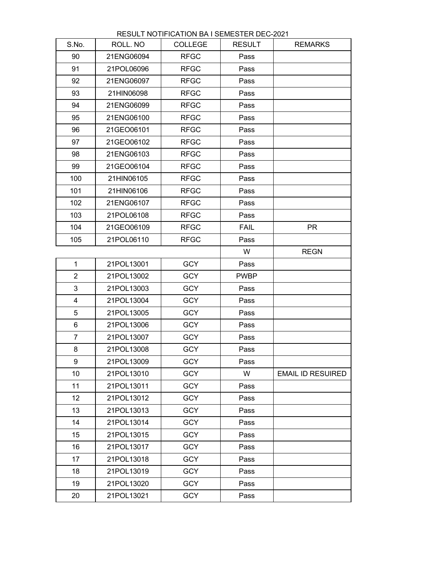| RESULT NOTIFICATION BA I SEMESTER DEC-2021 |  |
|--------------------------------------------|--|
|--------------------------------------------|--|

| S.No.          | ROLL. NO   | <b>COLLEGE</b> | <b>RESULT</b> | <b>REMARKS</b>           |
|----------------|------------|----------------|---------------|--------------------------|
| 90             | 21ENG06094 | <b>RFGC</b>    | Pass          |                          |
| 91             | 21POL06096 | <b>RFGC</b>    | Pass          |                          |
| 92             | 21ENG06097 | <b>RFGC</b>    | Pass          |                          |
| 93             | 21HIN06098 | <b>RFGC</b>    | Pass          |                          |
| 94             | 21ENG06099 | <b>RFGC</b>    | Pass          |                          |
| 95             | 21ENG06100 | <b>RFGC</b>    | Pass          |                          |
| 96             | 21GEO06101 | <b>RFGC</b>    | Pass          |                          |
| 97             | 21GEO06102 | <b>RFGC</b>    | Pass          |                          |
| 98             | 21ENG06103 | <b>RFGC</b>    | Pass          |                          |
| 99             | 21GEO06104 | <b>RFGC</b>    | Pass          |                          |
| 100            | 21HIN06105 | <b>RFGC</b>    | Pass          |                          |
| 101            | 21HIN06106 | <b>RFGC</b>    | Pass          |                          |
| 102            | 21ENG06107 | <b>RFGC</b>    | Pass          |                          |
| 103            | 21POL06108 | <b>RFGC</b>    | Pass          |                          |
| 104            | 21GEO06109 | <b>RFGC</b>    | <b>FAIL</b>   | <b>PR</b>                |
| 105            | 21POL06110 | <b>RFGC</b>    | Pass          |                          |
|                |            |                | W             | <b>REGN</b>              |
| $\mathbf{1}$   | 21POL13001 | <b>GCY</b>     | Pass          |                          |
| $\overline{2}$ | 21POL13002 | <b>GCY</b>     | <b>PWBP</b>   |                          |
| 3              | 21POL13003 | <b>GCY</b>     | Pass          |                          |
| 4              | 21POL13004 | <b>GCY</b>     | Pass          |                          |
| 5              | 21POL13005 | <b>GCY</b>     | Pass          |                          |
| 6              | 21POL13006 | <b>GCY</b>     | Pass          |                          |
| $\overline{7}$ | 21POL13007 | <b>GCY</b>     | Pass          |                          |
| 8              | 21POL13008 | <b>GCY</b>     | Pass          |                          |
| 9              | 21POL13009 | <b>GCY</b>     | Pass          |                          |
| 10             | 21POL13010 | <b>GCY</b>     | W             | <b>EMAIL ID RESUIRED</b> |
| 11             | 21POL13011 | <b>GCY</b>     | Pass          |                          |
| 12             | 21POL13012 | <b>GCY</b>     | Pass          |                          |
| 13             | 21POL13013 | <b>GCY</b>     | Pass          |                          |
| 14             | 21POL13014 | <b>GCY</b>     | Pass          |                          |
| 15             | 21POL13015 | <b>GCY</b>     | Pass          |                          |
| 16             | 21POL13017 | <b>GCY</b>     | Pass          |                          |
| 17             | 21POL13018 | <b>GCY</b>     | Pass          |                          |
| 18             | 21POL13019 | <b>GCY</b>     | Pass          |                          |
| 19             | 21POL13020 | <b>GCY</b>     | Pass          |                          |
| 20             | 21POL13021 | <b>GCY</b>     | Pass          |                          |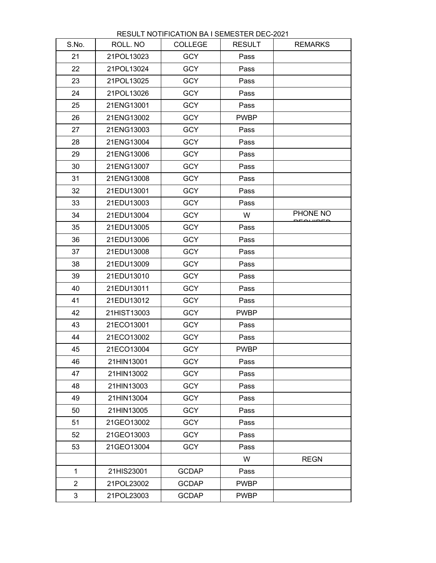| S.No.          | ROLL, NO    | <b>COLLEGE</b> | <b>RESULT</b> | <b>REMARKS</b> |
|----------------|-------------|----------------|---------------|----------------|
| 21             | 21POL13023  | <b>GCY</b>     | Pass          |                |
| 22             | 21POL13024  | <b>GCY</b>     | Pass          |                |
| 23             | 21POL13025  | <b>GCY</b>     | Pass          |                |
| 24             | 21POL13026  | <b>GCY</b>     | Pass          |                |
| 25             | 21ENG13001  | <b>GCY</b>     | Pass          |                |
| 26             | 21ENG13002  | <b>GCY</b>     | <b>PWBP</b>   |                |
| 27             | 21ENG13003  | <b>GCY</b>     | Pass          |                |
| 28             | 21ENG13004  | <b>GCY</b>     | Pass          |                |
| 29             | 21ENG13006  | <b>GCY</b>     | Pass          |                |
| 30             | 21ENG13007  | <b>GCY</b>     | Pass          |                |
| 31             | 21ENG13008  | <b>GCY</b>     | Pass          |                |
| 32             | 21EDU13001  | <b>GCY</b>     | Pass          |                |
| 33             | 21EDU13003  | <b>GCY</b>     | Pass          |                |
| 34             | 21EDU13004  | <b>GCY</b>     | W             | PHONE NO       |
| 35             | 21EDU13005  | <b>GCY</b>     | Pass          |                |
| 36             | 21EDU13006  | <b>GCY</b>     | Pass          |                |
| 37             | 21EDU13008  | <b>GCY</b>     | Pass          |                |
| 38             | 21EDU13009  | <b>GCY</b>     | Pass          |                |
| 39             | 21EDU13010  | <b>GCY</b>     | Pass          |                |
| 40             | 21EDU13011  | <b>GCY</b>     | Pass          |                |
| 41             | 21EDU13012  | <b>GCY</b>     | Pass          |                |
| 42             | 21HIST13003 | <b>GCY</b>     | <b>PWBP</b>   |                |
| 43             | 21ECO13001  | <b>GCY</b>     | Pass          |                |
| 44             | 21ECO13002  | <b>GCY</b>     | Pass          |                |
| 45             | 21ECO13004  | <b>GCY</b>     | <b>PWBP</b>   |                |
| 46             | 21HIN13001  | <b>GCY</b>     | Pass          |                |
| 47             | 21HIN13002  | <b>GCY</b>     | Pass          |                |
| 48             | 21HIN13003  | <b>GCY</b>     | Pass          |                |
| 49             | 21HIN13004  | <b>GCY</b>     | Pass          |                |
| 50             | 21HIN13005  | <b>GCY</b>     | Pass          |                |
| 51             | 21GEO13002  | <b>GCY</b>     | Pass          |                |
| 52             | 21GEO13003  | <b>GCY</b>     | Pass          |                |
| 53             | 21GEO13004  | <b>GCY</b>     | Pass          |                |
|                |             |                | W             | <b>REGN</b>    |
| $\mathbf{1}$   | 21HIS23001  | <b>GCDAP</b>   | Pass          |                |
| $\overline{2}$ | 21POL23002  | <b>GCDAP</b>   | <b>PWBP</b>   |                |
| 3              | 21POL23003  | <b>GCDAP</b>   | <b>PWBP</b>   |                |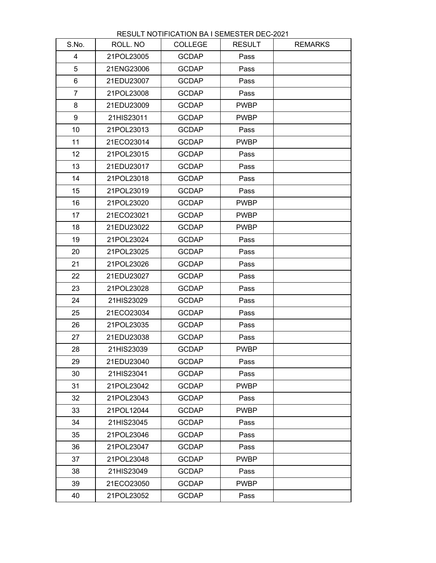| S.No.           | ROLL. NO   | <b>COLLEGE</b> | <b>RESULT</b> | <b>REMARKS</b> |
|-----------------|------------|----------------|---------------|----------------|
| $\overline{4}$  | 21POL23005 | <b>GCDAP</b>   | Pass          |                |
| 5               | 21ENG23006 | <b>GCDAP</b>   | Pass          |                |
| 6               | 21EDU23007 | <b>GCDAP</b>   | Pass          |                |
| $\overline{7}$  | 21POL23008 | <b>GCDAP</b>   | Pass          |                |
| 8               | 21EDU23009 | <b>GCDAP</b>   | <b>PWBP</b>   |                |
| 9               | 21HIS23011 | <b>GCDAP</b>   | <b>PWBP</b>   |                |
| 10              | 21POL23013 | <b>GCDAP</b>   | Pass          |                |
| 11              | 21ECO23014 | <b>GCDAP</b>   | <b>PWBP</b>   |                |
| 12 <sub>2</sub> | 21POL23015 | <b>GCDAP</b>   | Pass          |                |
| 13              | 21EDU23017 | <b>GCDAP</b>   | Pass          |                |
| 14              | 21POL23018 | <b>GCDAP</b>   | Pass          |                |
| 15              | 21POL23019 | <b>GCDAP</b>   | Pass          |                |
| 16              | 21POL23020 | <b>GCDAP</b>   | <b>PWBP</b>   |                |
| 17              | 21ECO23021 | <b>GCDAP</b>   | <b>PWBP</b>   |                |
| 18              | 21EDU23022 | <b>GCDAP</b>   | <b>PWBP</b>   |                |
| 19              | 21POL23024 | <b>GCDAP</b>   | Pass          |                |
| 20              | 21POL23025 | <b>GCDAP</b>   | Pass          |                |
| 21              | 21POL23026 | <b>GCDAP</b>   | Pass          |                |
| 22              | 21EDU23027 | <b>GCDAP</b>   | Pass          |                |
| 23              | 21POL23028 | <b>GCDAP</b>   | Pass          |                |
| 24              | 21HIS23029 | <b>GCDAP</b>   | Pass          |                |
| 25              | 21ECO23034 | <b>GCDAP</b>   | Pass          |                |
| 26              | 21POL23035 | <b>GCDAP</b>   | Pass          |                |
| 27              | 21EDU23038 | <b>GCDAP</b>   | Pass          |                |
| 28              | 21HIS23039 | <b>GCDAP</b>   | <b>PWBP</b>   |                |
| 29              | 21EDU23040 | <b>GCDAP</b>   | Pass          |                |
| 30              | 21HIS23041 | <b>GCDAP</b>   | Pass          |                |
| 31              | 21POL23042 | <b>GCDAP</b>   | <b>PWBP</b>   |                |
| 32              | 21POL23043 | <b>GCDAP</b>   | Pass          |                |
| 33              | 21POL12044 | <b>GCDAP</b>   | <b>PWBP</b>   |                |
| 34              | 21HIS23045 | <b>GCDAP</b>   | Pass          |                |
| 35              | 21POL23046 | <b>GCDAP</b>   | Pass          |                |
| 36              | 21POL23047 | <b>GCDAP</b>   | Pass          |                |
| 37              | 21POL23048 | <b>GCDAP</b>   | <b>PWBP</b>   |                |
| 38              | 21HIS23049 | <b>GCDAP</b>   | Pass          |                |
| 39              | 21ECO23050 | <b>GCDAP</b>   | <b>PWBP</b>   |                |
| 40              | 21POL23052 | <b>GCDAP</b>   | Pass          |                |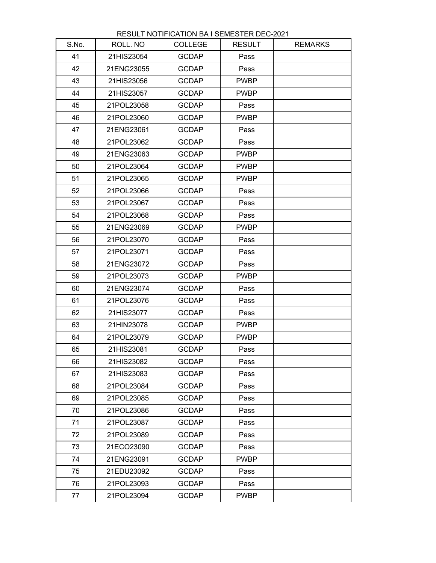| S.No. | ROLL. NO   | <b>COLLEGE</b> | <b>RESULT</b> | <b>REMARKS</b> |
|-------|------------|----------------|---------------|----------------|
| 41    | 21HIS23054 | <b>GCDAP</b>   | Pass          |                |
| 42    | 21ENG23055 | <b>GCDAP</b>   | Pass          |                |
| 43    | 21HIS23056 | <b>GCDAP</b>   | <b>PWBP</b>   |                |
| 44    | 21HIS23057 | <b>GCDAP</b>   | <b>PWBP</b>   |                |
| 45    | 21POL23058 | <b>GCDAP</b>   | Pass          |                |
| 46    | 21POL23060 | <b>GCDAP</b>   | <b>PWBP</b>   |                |
| 47    | 21ENG23061 | <b>GCDAP</b>   | Pass          |                |
| 48    | 21POL23062 | <b>GCDAP</b>   | Pass          |                |
| 49    | 21ENG23063 | <b>GCDAP</b>   | <b>PWBP</b>   |                |
| 50    | 21POL23064 | <b>GCDAP</b>   | <b>PWBP</b>   |                |
| 51    | 21POL23065 | <b>GCDAP</b>   | <b>PWBP</b>   |                |
| 52    | 21POL23066 | <b>GCDAP</b>   | Pass          |                |
| 53    | 21POL23067 | <b>GCDAP</b>   | Pass          |                |
| 54    | 21POL23068 | <b>GCDAP</b>   | Pass          |                |
| 55    | 21ENG23069 | <b>GCDAP</b>   | <b>PWBP</b>   |                |
| 56    | 21POL23070 | <b>GCDAP</b>   | Pass          |                |
| 57    | 21POL23071 | <b>GCDAP</b>   | Pass          |                |
| 58    | 21ENG23072 | <b>GCDAP</b>   | Pass          |                |
| 59    | 21POL23073 | <b>GCDAP</b>   | <b>PWBP</b>   |                |
| 60    | 21ENG23074 | <b>GCDAP</b>   | Pass          |                |
| 61    | 21POL23076 | <b>GCDAP</b>   | Pass          |                |
| 62    | 21HIS23077 | <b>GCDAP</b>   | Pass          |                |
| 63    | 21HIN23078 | <b>GCDAP</b>   | <b>PWBP</b>   |                |
| 64    | 21POL23079 | <b>GCDAP</b>   | <b>PWBP</b>   |                |
| 65    | 21HIS23081 | <b>GCDAP</b>   | Pass          |                |
| 66    | 21HIS23082 | <b>GCDAP</b>   | Pass          |                |
| 67    | 21HIS23083 | <b>GCDAP</b>   | Pass          |                |
| 68    | 21POL23084 | <b>GCDAP</b>   | Pass          |                |
| 69    | 21POL23085 | <b>GCDAP</b>   | Pass          |                |
| 70    | 21POL23086 | <b>GCDAP</b>   | Pass          |                |
| 71    | 21POL23087 | <b>GCDAP</b>   | Pass          |                |
| 72    | 21POL23089 | <b>GCDAP</b>   | Pass          |                |
| 73    | 21ECO23090 | <b>GCDAP</b>   | Pass          |                |
| 74    | 21ENG23091 | <b>GCDAP</b>   | <b>PWBP</b>   |                |
| 75    | 21EDU23092 | <b>GCDAP</b>   | Pass          |                |
| 76    | 21POL23093 | <b>GCDAP</b>   | Pass          |                |
| 77    | 21POL23094 | <b>GCDAP</b>   | <b>PWBP</b>   |                |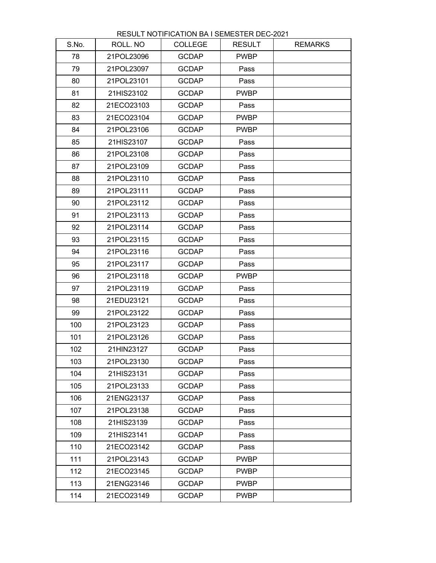| RESULT NOTIFICATION BA I SEMESTER DEC-2021 |  |
|--------------------------------------------|--|
|--------------------------------------------|--|

| S.No. | ROLL. NO   | <b>COLLEGE</b> | <b>RESULT</b> | <b>REMARKS</b> |
|-------|------------|----------------|---------------|----------------|
| 78    | 21POL23096 | <b>GCDAP</b>   | <b>PWBP</b>   |                |
| 79    | 21POL23097 | <b>GCDAP</b>   | Pass          |                |
| 80    | 21POL23101 | <b>GCDAP</b>   | Pass          |                |
| 81    | 21HIS23102 | <b>GCDAP</b>   | <b>PWBP</b>   |                |
| 82    | 21ECO23103 | <b>GCDAP</b>   | Pass          |                |
| 83    | 21ECO23104 | <b>GCDAP</b>   | <b>PWBP</b>   |                |
| 84    | 21POL23106 | <b>GCDAP</b>   | <b>PWBP</b>   |                |
| 85    | 21HIS23107 | <b>GCDAP</b>   | Pass          |                |
| 86    | 21POL23108 | <b>GCDAP</b>   | Pass          |                |
| 87    | 21POL23109 | <b>GCDAP</b>   | Pass          |                |
| 88    | 21POL23110 | <b>GCDAP</b>   | Pass          |                |
| 89    | 21POL23111 | <b>GCDAP</b>   | Pass          |                |
| 90    | 21POL23112 | <b>GCDAP</b>   | Pass          |                |
| 91    | 21POL23113 | <b>GCDAP</b>   | Pass          |                |
| 92    | 21POL23114 | <b>GCDAP</b>   | Pass          |                |
| 93    | 21POL23115 | <b>GCDAP</b>   | Pass          |                |
| 94    | 21POL23116 | <b>GCDAP</b>   | Pass          |                |
| 95    | 21POL23117 | <b>GCDAP</b>   | Pass          |                |
| 96    | 21POL23118 | <b>GCDAP</b>   | <b>PWBP</b>   |                |
| 97    | 21POL23119 | <b>GCDAP</b>   | Pass          |                |
| 98    | 21EDU23121 | <b>GCDAP</b>   | Pass          |                |
| 99    | 21POL23122 | <b>GCDAP</b>   | Pass          |                |
| 100   | 21POL23123 | <b>GCDAP</b>   | Pass          |                |
| 101   | 21POL23126 | <b>GCDAP</b>   | Pass          |                |
| 102   | 21HIN23127 | <b>GCDAP</b>   | Pass          |                |
| 103   | 21POL23130 | <b>GCDAP</b>   | Pass          |                |
| 104   | 21HIS23131 | <b>GCDAP</b>   | Pass          |                |
| 105   | 21POL23133 | <b>GCDAP</b>   | Pass          |                |
| 106   | 21ENG23137 | <b>GCDAP</b>   | Pass          |                |
| 107   | 21POL23138 | <b>GCDAP</b>   | Pass          |                |
| 108   | 21HIS23139 | <b>GCDAP</b>   | Pass          |                |
| 109   | 21HIS23141 | <b>GCDAP</b>   | Pass          |                |
| 110   | 21ECO23142 | <b>GCDAP</b>   | Pass          |                |
| 111   | 21POL23143 | <b>GCDAP</b>   | <b>PWBP</b>   |                |
| 112   | 21ECO23145 | <b>GCDAP</b>   | <b>PWBP</b>   |                |
| 113   | 21ENG23146 | <b>GCDAP</b>   | <b>PWBP</b>   |                |
| 114   | 21ECO23149 | <b>GCDAP</b>   | <b>PWBP</b>   |                |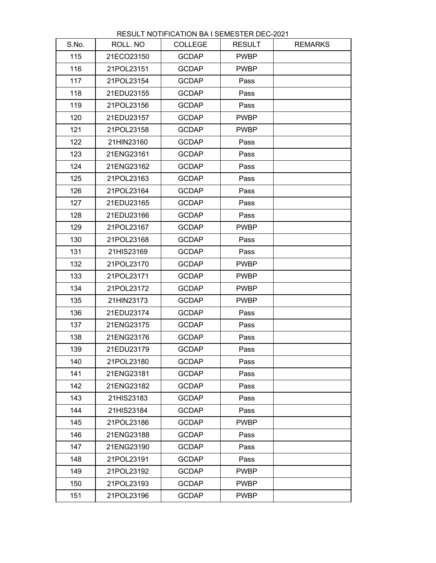| RESULT NOTIFICATION BA I SEMESTER DEC-2021 |  |
|--------------------------------------------|--|
|--------------------------------------------|--|

| S.No. | ROLL. NO   | <b>COLLEGE</b> | <b>RESULT</b> | <b>REMARKS</b> |
|-------|------------|----------------|---------------|----------------|
| 115   | 21ECO23150 | <b>GCDAP</b>   | <b>PWBP</b>   |                |
| 116   | 21POL23151 | <b>GCDAP</b>   | <b>PWBP</b>   |                |
| 117   | 21POL23154 | <b>GCDAP</b>   | Pass          |                |
| 118   | 21EDU23155 | <b>GCDAP</b>   | Pass          |                |
| 119   | 21POL23156 | <b>GCDAP</b>   | Pass          |                |
| 120   | 21EDU23157 | <b>GCDAP</b>   | <b>PWBP</b>   |                |
| 121   | 21POL23158 | <b>GCDAP</b>   | <b>PWBP</b>   |                |
| 122   | 21HIN23160 | <b>GCDAP</b>   | Pass          |                |
| 123   | 21ENG23161 | <b>GCDAP</b>   | Pass          |                |
| 124   | 21ENG23162 | <b>GCDAP</b>   | Pass          |                |
| 125   | 21POL23163 | <b>GCDAP</b>   | Pass          |                |
| 126   | 21POL23164 | <b>GCDAP</b>   | Pass          |                |
| 127   | 21EDU23165 | <b>GCDAP</b>   | Pass          |                |
| 128   | 21EDU23166 | <b>GCDAP</b>   | Pass          |                |
| 129   | 21POL23167 | <b>GCDAP</b>   | <b>PWBP</b>   |                |
| 130   | 21POL23168 | <b>GCDAP</b>   | Pass          |                |
| 131   | 21HIS23169 | <b>GCDAP</b>   | Pass          |                |
| 132   | 21POL23170 | <b>GCDAP</b>   | <b>PWBP</b>   |                |
| 133   | 21POL23171 | <b>GCDAP</b>   | <b>PWBP</b>   |                |
| 134   | 21POL23172 | <b>GCDAP</b>   | <b>PWBP</b>   |                |
| 135   | 21HIN23173 | <b>GCDAP</b>   | <b>PWBP</b>   |                |
| 136   | 21EDU23174 | <b>GCDAP</b>   | Pass          |                |
| 137   | 21ENG23175 | <b>GCDAP</b>   | Pass          |                |
| 138   | 21ENG23176 | <b>GCDAP</b>   | Pass          |                |
| 139   | 21EDU23179 | <b>GCDAP</b>   | Pass          |                |
| 140   | 21POL23180 | <b>GCDAP</b>   | Pass          |                |
| 141   | 21ENG23181 | <b>GCDAP</b>   | Pass          |                |
| 142   | 21ENG23182 | <b>GCDAP</b>   | Pass          |                |
| 143   | 21HIS23183 | <b>GCDAP</b>   | Pass          |                |
| 144   | 21HIS23184 | <b>GCDAP</b>   | Pass          |                |
| 145   | 21POL23186 | <b>GCDAP</b>   | <b>PWBP</b>   |                |
| 146   | 21ENG23188 | <b>GCDAP</b>   | Pass          |                |
| 147   | 21ENG23190 | <b>GCDAP</b>   | Pass          |                |
| 148   | 21POL23191 | <b>GCDAP</b>   | Pass          |                |
| 149   | 21POL23192 | <b>GCDAP</b>   | <b>PWBP</b>   |                |
| 150   | 21POL23193 | <b>GCDAP</b>   | <b>PWBP</b>   |                |
| 151   | 21POL23196 | <b>GCDAP</b>   | <b>PWBP</b>   |                |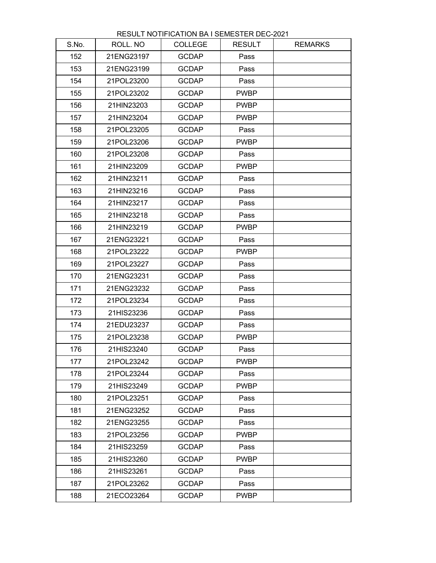| S.No. | ROLL. NO   | <b>COLLEGE</b> | <b>RESULT</b> | <b>REMARKS</b> |
|-------|------------|----------------|---------------|----------------|
| 152   | 21ENG23197 | <b>GCDAP</b>   | Pass          |                |
| 153   | 21ENG23199 | <b>GCDAP</b>   | Pass          |                |
| 154   | 21POL23200 | <b>GCDAP</b>   | Pass          |                |
| 155   | 21POL23202 | <b>GCDAP</b>   | <b>PWBP</b>   |                |
| 156   | 21HIN23203 | <b>GCDAP</b>   | <b>PWBP</b>   |                |
| 157   | 21HIN23204 | <b>GCDAP</b>   | <b>PWBP</b>   |                |
| 158   | 21POL23205 | <b>GCDAP</b>   | Pass          |                |
| 159   | 21POL23206 | <b>GCDAP</b>   | <b>PWBP</b>   |                |
| 160   | 21POL23208 | <b>GCDAP</b>   | Pass          |                |
| 161   | 21HIN23209 | <b>GCDAP</b>   | <b>PWBP</b>   |                |
| 162   | 21HIN23211 | <b>GCDAP</b>   | Pass          |                |
| 163   | 21HIN23216 | <b>GCDAP</b>   | Pass          |                |
| 164   | 21HIN23217 | <b>GCDAP</b>   | Pass          |                |
| 165   | 21HIN23218 | <b>GCDAP</b>   | Pass          |                |
| 166   | 21HIN23219 | <b>GCDAP</b>   | <b>PWBP</b>   |                |
| 167   | 21ENG23221 | <b>GCDAP</b>   | Pass          |                |
| 168   | 21POL23222 | <b>GCDAP</b>   | <b>PWBP</b>   |                |
| 169   | 21POL23227 | <b>GCDAP</b>   | Pass          |                |
| 170   | 21ENG23231 | <b>GCDAP</b>   | Pass          |                |
| 171   | 21ENG23232 | <b>GCDAP</b>   | Pass          |                |
| 172   | 21POL23234 | <b>GCDAP</b>   | Pass          |                |
| 173   | 21HIS23236 | <b>GCDAP</b>   | Pass          |                |
| 174   | 21EDU23237 | <b>GCDAP</b>   | Pass          |                |
| 175   | 21POL23238 | <b>GCDAP</b>   | <b>PWBP</b>   |                |
| 176   | 21HIS23240 | <b>GCDAP</b>   | Pass          |                |
| 177   | 21POL23242 | <b>GCDAP</b>   | <b>PWBP</b>   |                |
| 178   | 21POL23244 | <b>GCDAP</b>   | Pass          |                |
| 179   | 21HIS23249 | <b>GCDAP</b>   | <b>PWBP</b>   |                |
| 180   | 21POL23251 | <b>GCDAP</b>   | Pass          |                |
| 181   | 21ENG23252 | <b>GCDAP</b>   | Pass          |                |
| 182   | 21ENG23255 | <b>GCDAP</b>   | Pass          |                |
| 183   | 21POL23256 | <b>GCDAP</b>   | <b>PWBP</b>   |                |
| 184   | 21HIS23259 | <b>GCDAP</b>   | Pass          |                |
| 185   | 21HIS23260 | <b>GCDAP</b>   | <b>PWBP</b>   |                |
| 186   | 21HIS23261 | <b>GCDAP</b>   | Pass          |                |
| 187   | 21POL23262 | <b>GCDAP</b>   | Pass          |                |
| 188   | 21ECO23264 | <b>GCDAP</b>   | <b>PWBP</b>   |                |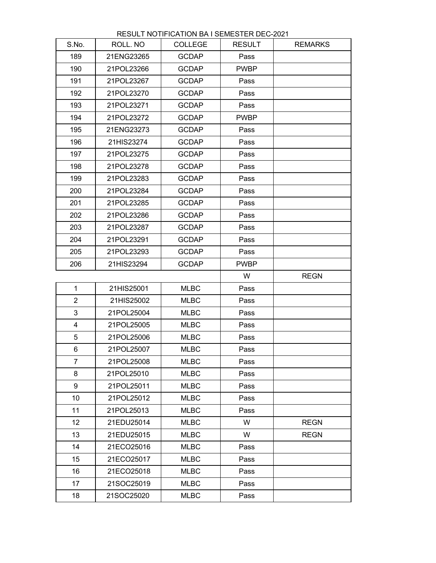| S.No.           | ROLL. NO   | <b>COLLEGE</b> | <b>RESULT</b> | <b>REMARKS</b> |
|-----------------|------------|----------------|---------------|----------------|
| 189             | 21ENG23265 | <b>GCDAP</b>   | Pass          |                |
| 190             | 21POL23266 | <b>GCDAP</b>   | <b>PWBP</b>   |                |
| 191             | 21POL23267 | <b>GCDAP</b>   | Pass          |                |
| 192             | 21POL23270 | <b>GCDAP</b>   | Pass          |                |
| 193             | 21POL23271 | <b>GCDAP</b>   | Pass          |                |
| 194             | 21POL23272 | <b>GCDAP</b>   | <b>PWBP</b>   |                |
| 195             | 21ENG23273 | <b>GCDAP</b>   | Pass          |                |
| 196             | 21HIS23274 | <b>GCDAP</b>   | Pass          |                |
| 197             | 21POL23275 | <b>GCDAP</b>   | Pass          |                |
| 198             | 21POL23278 | <b>GCDAP</b>   | Pass          |                |
| 199             | 21POL23283 | <b>GCDAP</b>   | Pass          |                |
| 200             | 21POL23284 | <b>GCDAP</b>   | Pass          |                |
| 201             | 21POL23285 | <b>GCDAP</b>   | Pass          |                |
| 202             | 21POL23286 | <b>GCDAP</b>   | Pass          |                |
| 203             | 21POL23287 | <b>GCDAP</b>   | Pass          |                |
| 204             | 21POL23291 | <b>GCDAP</b>   | Pass          |                |
| 205             | 21POL23293 | <b>GCDAP</b>   | Pass          |                |
| 206             | 21HIS23294 | <b>GCDAP</b>   | <b>PWBP</b>   |                |
|                 |            |                | W             | <b>REGN</b>    |
| 1               | 21HIS25001 | <b>MLBC</b>    | Pass          |                |
| $\overline{2}$  | 21HIS25002 | <b>MLBC</b>    | Pass          |                |
| 3               | 21POL25004 | <b>MLBC</b>    | Pass          |                |
| 4               | 21POL25005 | <b>MLBC</b>    | Pass          |                |
| 5               | 21POL25006 | <b>MLBC</b>    | Pass          |                |
| 6               | 21POL25007 | <b>MLBC</b>    | Pass          |                |
| $\overline{7}$  | 21POL25008 | <b>MLBC</b>    | Pass          |                |
| 8               | 21POL25010 | <b>MLBC</b>    | Pass          |                |
| 9               | 21POL25011 | <b>MLBC</b>    | Pass          |                |
| 10              | 21POL25012 | <b>MLBC</b>    | Pass          |                |
| 11              | 21POL25013 | <b>MLBC</b>    | Pass          |                |
| 12 <sub>2</sub> | 21EDU25014 | <b>MLBC</b>    | W             | <b>REGN</b>    |
| 13              | 21EDU25015 | <b>MLBC</b>    | W             | <b>REGN</b>    |
| 14              | 21ECO25016 | <b>MLBC</b>    | Pass          |                |
| 15              | 21ECO25017 | <b>MLBC</b>    | Pass          |                |
| 16              | 21ECO25018 | <b>MLBC</b>    | Pass          |                |

17 21SOC25019 MLBC Pass 18 21SOC25020 MLBC Pass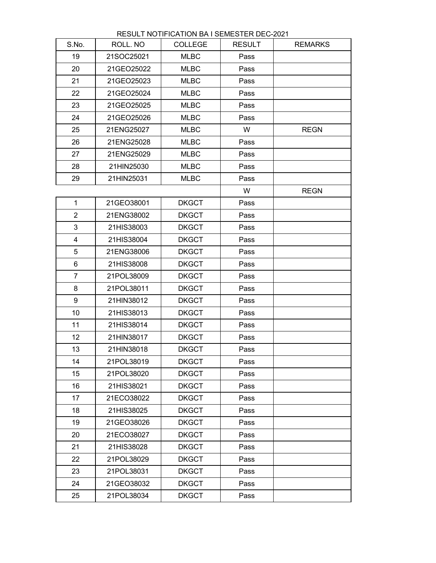|  | <b>RESULT NOTIFICATION BA I SEMESTER DEC-2021</b> |  |
|--|---------------------------------------------------|--|
|  |                                                   |  |
|  |                                                   |  |

| S.No.          | ROLL. NO   | <b>COLLEGE</b> | <b>RESULT</b> | <b>REMARKS</b> |
|----------------|------------|----------------|---------------|----------------|
| 19             | 21SOC25021 | <b>MLBC</b>    | Pass          |                |
| 20             | 21GEO25022 | <b>MLBC</b>    | Pass          |                |
| 21             | 21GEO25023 | <b>MLBC</b>    | Pass          |                |
| 22             | 21GEO25024 | <b>MLBC</b>    | Pass          |                |
| 23             | 21GEO25025 | <b>MLBC</b>    | Pass          |                |
| 24             | 21GEO25026 | <b>MLBC</b>    | Pass          |                |
| 25             | 21ENG25027 | <b>MLBC</b>    | W             | <b>REGN</b>    |
| 26             | 21ENG25028 | <b>MLBC</b>    | Pass          |                |
| 27             | 21ENG25029 | <b>MLBC</b>    | Pass          |                |
| 28             | 21HIN25030 | <b>MLBC</b>    | Pass          |                |
| 29             | 21HIN25031 | <b>MLBC</b>    | Pass          |                |
|                |            |                | W             | <b>REGN</b>    |
| $\mathbf 1$    | 21GEO38001 | <b>DKGCT</b>   | Pass          |                |
| $\overline{2}$ | 21ENG38002 | <b>DKGCT</b>   | Pass          |                |
| 3              | 21HIS38003 | <b>DKGCT</b>   | Pass          |                |
| $\overline{4}$ | 21HIS38004 | <b>DKGCT</b>   | Pass          |                |
| 5              | 21ENG38006 | <b>DKGCT</b>   | Pass          |                |
| $6\phantom{1}$ | 21HIS38008 | <b>DKGCT</b>   | Pass          |                |
| $\overline{7}$ | 21POL38009 | <b>DKGCT</b>   | Pass          |                |
| 8              | 21POL38011 | <b>DKGCT</b>   | Pass          |                |
| 9              | 21HIN38012 | <b>DKGCT</b>   | Pass          |                |
| 10             | 21HIS38013 | <b>DKGCT</b>   | Pass          |                |
| 11             | 21HIS38014 | <b>DKGCT</b>   | Pass          |                |
| 12             | 21HIN38017 | <b>DKGCT</b>   | Pass          |                |
| 13             | 21HIN38018 | <b>DKGCT</b>   | Pass          |                |
| 14             | 21POL38019 | <b>DKGCT</b>   | Pass          |                |
| 15             | 21POL38020 | <b>DKGCT</b>   | Pass          |                |
| 16             | 21HIS38021 | <b>DKGCT</b>   | Pass          |                |
| 17             | 21ECO38022 | <b>DKGCT</b>   | Pass          |                |
| 18             | 21HIS38025 | <b>DKGCT</b>   | Pass          |                |
| 19             | 21GEO38026 | <b>DKGCT</b>   | Pass          |                |
| 20             | 21ECO38027 | <b>DKGCT</b>   | Pass          |                |
| 21             | 21HIS38028 | <b>DKGCT</b>   | Pass          |                |
| 22             | 21POL38029 | <b>DKGCT</b>   | Pass          |                |
| 23             | 21POL38031 | <b>DKGCT</b>   | Pass          |                |
| 24             | 21GEO38032 | <b>DKGCT</b>   | Pass          |                |
| 25             | 21POL38034 | <b>DKGCT</b>   | Pass          |                |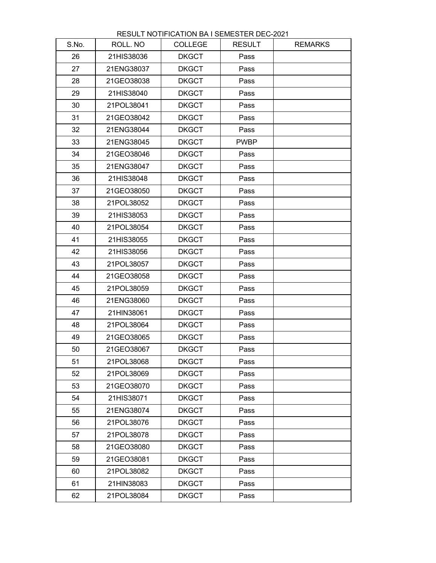| S.No. | ROLL. NO   | <b>COLLEGE</b> | <b>RESULT</b> | <b>REMARKS</b> |
|-------|------------|----------------|---------------|----------------|
| 26    | 21HIS38036 | <b>DKGCT</b>   | Pass          |                |
| 27    | 21ENG38037 | <b>DKGCT</b>   | Pass          |                |
| 28    | 21GEO38038 | <b>DKGCT</b>   | Pass          |                |
| 29    | 21HIS38040 | <b>DKGCT</b>   | Pass          |                |
| 30    | 21POL38041 | <b>DKGCT</b>   | Pass          |                |
| 31    | 21GEO38042 | <b>DKGCT</b>   | Pass          |                |
| 32    | 21ENG38044 | <b>DKGCT</b>   | Pass          |                |
| 33    | 21ENG38045 | <b>DKGCT</b>   | <b>PWBP</b>   |                |
| 34    | 21GEO38046 | <b>DKGCT</b>   | Pass          |                |
| 35    | 21ENG38047 | <b>DKGCT</b>   | Pass          |                |
| 36    | 21HIS38048 | <b>DKGCT</b>   | Pass          |                |
| 37    | 21GEO38050 | <b>DKGCT</b>   | Pass          |                |
| 38    | 21POL38052 | <b>DKGCT</b>   | Pass          |                |
| 39    | 21HIS38053 | <b>DKGCT</b>   | Pass          |                |
| 40    | 21POL38054 | <b>DKGCT</b>   | Pass          |                |
| 41    | 21HIS38055 | <b>DKGCT</b>   | Pass          |                |
| 42    | 21HIS38056 | <b>DKGCT</b>   | Pass          |                |
| 43    | 21POL38057 | <b>DKGCT</b>   | Pass          |                |
| 44    | 21GEO38058 | <b>DKGCT</b>   | Pass          |                |
| 45    | 21POL38059 | <b>DKGCT</b>   | Pass          |                |
| 46    | 21ENG38060 | <b>DKGCT</b>   | Pass          |                |
| 47    | 21HIN38061 | <b>DKGCT</b>   | Pass          |                |
| 48    | 21POL38064 | <b>DKGCT</b>   | Pass          |                |
| 49    | 21GEO38065 | <b>DKGCT</b>   | Pass          |                |
| 50    | 21GEO38067 | <b>DKGCT</b>   | Pass          |                |
| 51    | 21POL38068 | <b>DKGCT</b>   | Pass          |                |
| 52    | 21POL38069 | <b>DKGCT</b>   | Pass          |                |
| 53    | 21GEO38070 | <b>DKGCT</b>   | Pass          |                |
| 54    | 21HIS38071 | <b>DKGCT</b>   | Pass          |                |
| 55    | 21ENG38074 | <b>DKGCT</b>   | Pass          |                |
| 56    | 21POL38076 | <b>DKGCT</b>   | Pass          |                |
| 57    | 21POL38078 | <b>DKGCT</b>   | Pass          |                |
| 58    | 21GEO38080 | <b>DKGCT</b>   | Pass          |                |
| 59    | 21GEO38081 | <b>DKGCT</b>   | Pass          |                |
| 60    | 21POL38082 | <b>DKGCT</b>   | Pass          |                |
| 61    | 21HIN38083 | <b>DKGCT</b>   | Pass          |                |
| 62    | 21POL38084 | <b>DKGCT</b>   | Pass          |                |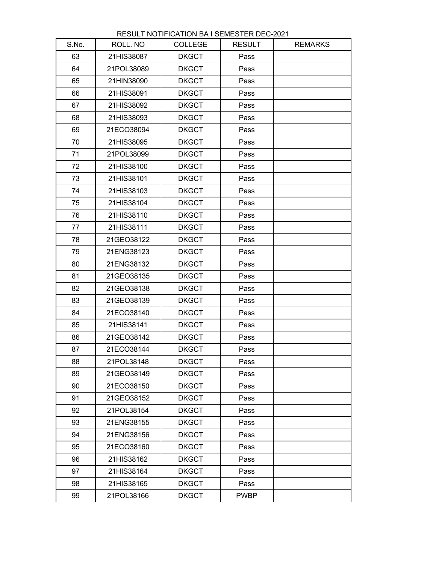| S.No. | ROLL. NO   | <b>COLLEGE</b> | <b>RESULT</b> | <b>REMARKS</b> |
|-------|------------|----------------|---------------|----------------|
| 63    | 21HIS38087 | <b>DKGCT</b>   | Pass          |                |
| 64    | 21POL38089 | <b>DKGCT</b>   | Pass          |                |
| 65    | 21HIN38090 | <b>DKGCT</b>   | Pass          |                |
| 66    | 21HIS38091 | <b>DKGCT</b>   | Pass          |                |
| 67    | 21HIS38092 | <b>DKGCT</b>   | Pass          |                |
| 68    | 21HIS38093 | <b>DKGCT</b>   | Pass          |                |
| 69    | 21ECO38094 | <b>DKGCT</b>   | Pass          |                |
| 70    | 21HIS38095 | <b>DKGCT</b>   | Pass          |                |
| 71    | 21POL38099 | <b>DKGCT</b>   | Pass          |                |
| 72    | 21HIS38100 | <b>DKGCT</b>   | Pass          |                |
| 73    | 21HIS38101 | <b>DKGCT</b>   | Pass          |                |
| 74    | 21HIS38103 | <b>DKGCT</b>   | Pass          |                |
| 75    | 21HIS38104 | <b>DKGCT</b>   | Pass          |                |
| 76    | 21HIS38110 | <b>DKGCT</b>   | Pass          |                |
| 77    | 21HIS38111 | <b>DKGCT</b>   | Pass          |                |
| 78    | 21GEO38122 | <b>DKGCT</b>   | Pass          |                |
| 79    | 21ENG38123 | <b>DKGCT</b>   | Pass          |                |
| 80    | 21ENG38132 | <b>DKGCT</b>   | Pass          |                |
| 81    | 21GEO38135 | <b>DKGCT</b>   | Pass          |                |
| 82    | 21GEO38138 | <b>DKGCT</b>   | Pass          |                |
| 83    | 21GEO38139 | <b>DKGCT</b>   | Pass          |                |
| 84    | 21ECO38140 | <b>DKGCT</b>   | Pass          |                |
| 85    | 21HIS38141 | <b>DKGCT</b>   | Pass          |                |
| 86    | 21GEO38142 | <b>DKGCT</b>   | Pass          |                |
| 87    | 21ECO38144 | <b>DKGCT</b>   | Pass          |                |
| 88    | 21POL38148 | <b>DKGCT</b>   | Pass          |                |
| 89    | 21GEO38149 | <b>DKGCT</b>   | Pass          |                |
| 90    | 21ECO38150 | <b>DKGCT</b>   | Pass          |                |
| 91    | 21GEO38152 | <b>DKGCT</b>   | Pass          |                |
| 92    | 21POL38154 | <b>DKGCT</b>   | Pass          |                |
| 93    | 21ENG38155 | <b>DKGCT</b>   | Pass          |                |
| 94    | 21ENG38156 | <b>DKGCT</b>   | Pass          |                |
| 95    | 21ECO38160 | <b>DKGCT</b>   | Pass          |                |
| 96    | 21HIS38162 | <b>DKGCT</b>   | Pass          |                |
| 97    | 21HIS38164 | <b>DKGCT</b>   | Pass          |                |
| 98    | 21HIS38165 | <b>DKGCT</b>   | Pass          |                |
| 99    | 21POL38166 | <b>DKGCT</b>   | <b>PWBP</b>   |                |